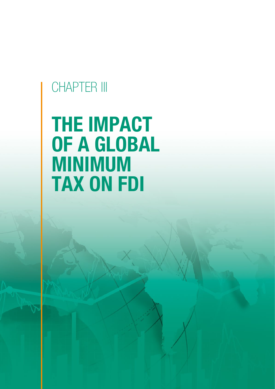# CHAPTER III

# THE IMPACT OF A GLOBAL MINIMUM TAX ON FDI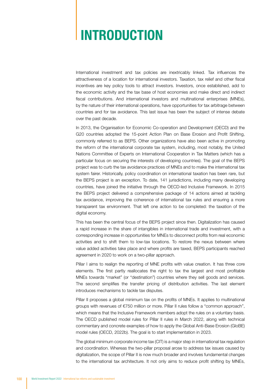# INTRODUCTION

International investment and tax policies are inextricably linked. Tax influences the attractiveness of a location for international investors. Taxation, tax relief and other fiscal incentives are key policy tools to attract investors. Investors, once established, add to the economic activity and the tax base of host economies and make direct and indirect fiscal contributions. And international investors and multinational enterprises (MNEs), by the nature of their international operations, have opportunities for tax arbitrage between countries and for tax avoidance. This last issue has been the subject of intense debate over the past decade.

In 2013, the Organisation for Economic Co-operation and Development (OECD) and the G20 countries adopted the 15-point Action Plan on Base Erosion and Profit Shifting, commonly referred to as BEPS. Other organizations have also been active in promoting the reform of the international corporate tax system, including, most notably, the United Nations Committee of Experts on International Cooperation in Tax Matters (which has a particular focus on securing the interests of developing countries). The goal of the BEPS project was to curb the tax avoidance practices of MNEs and to make the international tax system fairer. Historically, policy coordination on international taxation has been rare, but the BEPS project is an exception. To date, 141 jurisdictions, including many developing countries, have joined the initiative through the OECD-led Inclusive Framework. In 2015 the BEPS project delivered a comprehensive package of 14 actions aimed at tackling tax avoidance, improving the coherence of international tax rules and ensuring a more transparent tax environment. That left one action to be completed: the taxation of the digital economy.

This has been the central focus of the BEPS project since then. Digitalization has caused a rapid increase in the share of intangibles in international trade and investment, with a corresponding increase in opportunities for MNEs to disconnect profits from real economic activities and to shift them to low-tax locations. To restore the nexus between where value added activities take place and where profits are taxed, BEPS participants reached agreement in 2020 to work on a two-pillar approach.

Pillar I aims to realign the reporting of MNE profits with value creation. It has three core elements. The first partly reallocates the right to tax the largest and most profitable MNEs towards "market" (or "destination") countries where they sell goods and services. The second simplifies the transfer pricing of distribution activities. The last element introduces mechanisms to tackle tax disputes.

Pillar II proposes a global minimum tax on the profits of MNEs. It applies to multinational groups with revenues of €750 million or more. Pillar II rules follow a "common approach", which means that the Inclusive Framework members adopt the rules on a voluntary basis. The OECD published model rules for Pillar II rules in March 2022, along with technical commentary and concrete examples of how to apply the Global Anti-Base Erosion (GloBE) model rules (OECD, 2022b). The goal is to start implementation in 2023.

The global minimum corporate income tax (CIT) is a major step in international tax regulation and coordination. Whereas the two-pillar proposal arose to address tax issues caused by digitalization, the scope of Pillar II is now much broader and involves fundamental changes to the international tax architecture. It not only aims to reduce profit shifting by MNEs,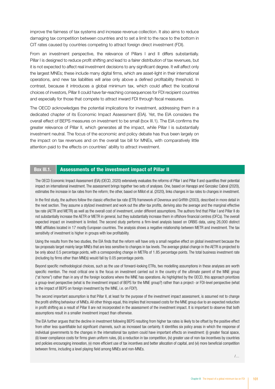improve the fairness of tax systems and increase revenue collection. It also aims to reduce damaging tax competition between countries and to set a limit to the race to the bottom in CIT rates caused by countries competing to attract foreign direct investment (FDI).

From an investment perspective, the relevance of Pillars I and II differs substantially. Pillar I is designed to reduce profit shifting and lead to a fairer distribution of tax revenues, but it is not expected to affect real investment decisions to any significant degree. It will affect only the largest MNEs; these include many digital firms, which are asset-light in their international operations, and new tax liabilities will arise only above a defined profitability threshold. In contrast, because it introduces a global minimum tax, which could affect the locational choices of investors, Pillar II could have far-reaching consequences for FDI recipient countries and especially for those that compete to attract inward FDI through fiscal measures.

The OECD acknowledges the potential implications for investment, addressing them in a dedicated chapter of its Economic Impact Assessment (EIA). Yet, the EIA considers the overall effect of BEPS measures on investment to be small (box III.1). The EIA confirms the greater relevance of Pillar II, which generates all the impact, while Pillar I is substantially investment neutral. The focus of the economic and policy debate has thus been largely on the impact on tax revenues and on the overall tax bill for MNEs, with comparatively little attention paid to the effects on countries' ability to attract investment.

#### Box III.1.  $\parallel$  Assessments of the investment impact of Pillar II

The OECD Economic Impact Assessment (EIA) (OECD, 2020) extensively evaluates the reforms of Pillar I and Pillar II and quantifies their potential impact on international investment. The assessment brings together two sets of analyses. One, based on Hanappi and Gonzalez Cabral (2020), estimates the increase in tax rates from the reform; the other, based on Millot et al. (2020), links changes in tax rates to changes in investment.

In the first study, the authors follow the classic effective tax rate (ETR) framework of Devereux and Griffith (2003), described in more detail in the next section. They assume a stylized investment and work out the after-tax profits, deriving also the average and the marginal effective tax rate (AETR and METR) as well as the overall cost of investment, under different assumptions. The authors find that Pillar I and Pillar II do not substantially increase the AETR or METR in general, but they substantially increase them in offshore financial centres (OFCs). The overall expected impact on investment is limited. The second study performs a firm-level analysis based on ORBIS data, using 26,000 distinct MNE affiliates located in 17 mostly European countries. The analysis shows a negative relationship between METR and investment. The tax sensitivity of investment is higher in groups with low profitability.

Using the results from the two studies, the EIA finds that the reform will have only a small negative effect on global investment because the tax proposals target mainly large MNEs that are less sensitive to changes in tax levels. The average global change in the AETR is projected to be only about 0.5 percentage points, with a corresponding change in METRs of 1.85 percentage points. The total business investment rate (including by firms other than MNEs) would fall by 0.05 percentage points.

Beyond specific methodological choices, such as the use of forward-looking ETRs, two modelling assumptions in these analyses are worth specific mention. The most critical one is the focus on investment carried out in the country of the ultimate parent of the MNE group ("at home") rather than in any of the foreign locations where the MNE has operations. As highlighted by the OECD, this approach prioritizes a group-level perspective (what is the investment impact of BEPS for the MNE group?) rather than a project- or FDI-level perspective (what is the impact of BEPS on foreign investment by the MNE, i.e. on FDI?).

The second important assumption is that Pillar II, at least for the purpose of the investment impact assessment, is assumed not to change the profit-shifting behaviour of MNEs. All other things equal, this implies that increased costs for the MNE group due to an expected reduction in profit shifting as a result of Pillar II are not incorporated in the assessment of the investment impact. It is important to observe that both assumptions result in a smaller investment impact than otherwise.

The EIA further argues that the decline in investment following BEPS resulting from higher tax rates is likely to be offset by the positive effect from other less quantifiable but significant channels, such as increased tax certainty. It identifies six policy areas in which the response of individual governments to the changes in the international tax system could have important effects on investment: (i) greater fiscal space, (ii) lower compliance costs for firms given uniform rules, (iii) a reduction in tax competition, (iv) greater use of non-tax incentives by countries and policies encouraging innovation, (v) more efficient use of tax incentives and better allocation of capital, and (vi) more beneficial competition between firms, including a level playing field among MNEs and non-MNEs.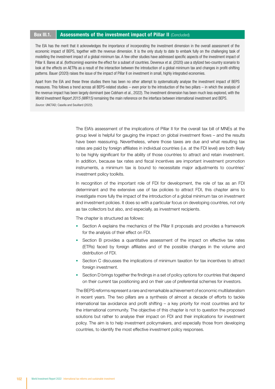#### Box III.1. Assessments of the investment impact of Pillar II (Concluded)

The EIA has the merit that it acknowledges the importance of incorporating the investment dimension in the overall assessment of the economic impact of BEPS, together with the revenue dimension. It is the only study to date to embark fully on the challenging task of modelling the investment impact of a global minimum tax. A few other studies have addressed specific aspects of the investment impact of Pillar II. Bares at al. (forthcoming) examine the effect for a subset of countries. Devereux et al. (2020) use a stylized two-country scenario to look at the effects on AETRs as a result of the interaction between the introduction of a global minimum tax and changes in profit-shifting patterns. Bauer (2020) raises the issue of the impact of Pillar II on investment in small, highly integrated economies.

Apart from the EIA and these three studies there has been no other attempt to systematically analyse the investment impact of BEPS measures. This follows a trend across all BEPS-related studies – even prior to the introduction of the two pillars – in which the analysis of the revenue impact has been largely dominant (see Cobham et al., 2022). The investment dimension has been much less explored, with the *World Investment Report 2015 (WIR15)* remaining the main reference on the interface between international investment and BEPS.

*Source:* UNCTAD; Casella and Souillard (2022).

The EIA's assessment of the implications of Pillar II for the overall tax bill of MNEs at the group level is helpful for gauging the impact on global investment flows – and the results have been reassuring. Nevertheless, where those taxes are due and what resulting tax rates are paid by foreign affiliates in individual countries (i.e. at the FDI level) are both likely to be highly significant for the ability of those countries to attract and retain investment. In addition, because tax rates and fiscal incentives are important investment promotion instruments, a minimum tax is bound to necessitate major adjustments to countries' investment policy toolkits.

In recognition of the important role of FDI for development, the role of tax as an FDI determinant and the extensive use of tax policies to attract FDI, this chapter aims to investigate more fully the impact of the introduction of a global minimum tax on investment and investment policies. It does so with a particular focus on developing countries, not only as tax collectors but also, and especially, as investment recipients.

The chapter is structured as follows:

- Section A explains the mechanics of the Pillar II proposals and provides a framework for the analysis of their effect on FDI.
- Section B provides a quantitative assessment of the impact on effective tax rates (ETRs) faced by foreign affiliates and of the possible changes in the volume and distribution of FDI.
- Section C discusses the implications of minimum taxation for tax incentives to attract foreign investment.
- Section D brings together the findings in a set of policy options for countries that depend on their current tax positioning and on their use of preferential schemes for investors.

The BEPS reforms represent a rare and remarkable achievement of economic multilateralism in recent years. The two pillars are a synthesis of almost a decade of efforts to tackle international tax avoidance and profit shifting – a key priority for most countries and for the international community. The objective of this chapter is not to question the proposed solutions but rather to analyse their impact on FDI and their implications for investment policy. The aim is to help investment policymakers, and especially those from developing countries, to identify the most effective investment policy responses.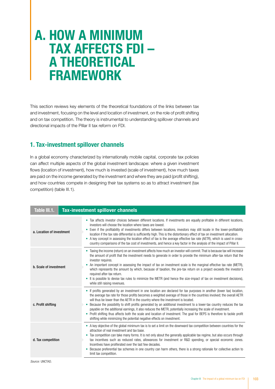# A. HOW A MINIMUM TAX AFFECTS FDI – A THEORETICAL FRAMEWORK

This section reviews key elements of the theoretical foundations of the links between tax and investment, focusing on the level and location of investment, on the role of profit shifting and on tax competition. The theory is instrumental to understanding spillover channels and directional impacts of the Pillar II tax reform on FDI.

## 1. Tax-investment spillover channels

In a global economy characterized by internationally mobile capital, corporate tax policies can affect multiple aspects of the global investment landscape: where a given investment flows (location of investment), how much is invested (scale of investment), how much taxes are paid on the income generated by the investment and where they are paid (profit shifting), and how countries compete in designing their tax systems so as to attract investment (tax competition) (table III.1).

| Table III.1.              |  | <b>Tax-investment spillover channels</b>                                                                                                                                                                                                                                                                                                                                                                                                                                                                                                                                                                                                                                                                                                                                                  |
|---------------------------|--|-------------------------------------------------------------------------------------------------------------------------------------------------------------------------------------------------------------------------------------------------------------------------------------------------------------------------------------------------------------------------------------------------------------------------------------------------------------------------------------------------------------------------------------------------------------------------------------------------------------------------------------------------------------------------------------------------------------------------------------------------------------------------------------------|
| a. Location of investment |  | Tax affects investor choices between different locations. If investments are equally profitable in different locations,<br>۰<br>investors will choose the location where taxes are lowest.<br>Even if the profitability of investments differs between locations, investors may still locate in the lower-profitability<br>۰<br>location if the tax rate differential is sufficiently high. This is the distortionary effect of tax on investment allocation.<br>• A key concept in assessing the location effect of tax is the average effective tax rate (AETR), which is used in cross-<br>country comparisons of the tax cost of investments, and hence a key factor in the analysis of the impact of Pillar II.                                                                      |
| b. Scale of investment    |  | Taxing the income (return) on an investment affects how much an investor will commit. That is because tax will increase<br>۰<br>the amount of profit that the investment needs to generate in order to provide the minimum after-tax return that the<br>investor requires.<br>An important concept in assessing the impact of tax on investment scale is the marginal effective tax rate (METR),<br>$\bullet$<br>which represents the amount by which, because of taxation, the pre-tax return on a project exceeds the investor's<br>required after-tax return.<br>It is possible to devise tax rules to minimize the METR (and hence the size-impact of tax on investment decisions),<br>۰<br>while still raising revenues.                                                             |
| c. Profit shifting        |  | If profits generated by an investment in one location are declared for tax purposes in another (lower tax) location,<br>۰<br>the average tax rate for those profits becomes a weighted average of those in the countries involved; the overall AETR<br>will thus be lower than the AETR in the country where the investment is located.<br>Because the possibility to shift profits generated by an additional investment to a lower-tax country reduces the tax<br>payable on the additional earnings, it also reduces the METR, potentially increasing the scale of investment.<br>• Profit shifting thus affects both the scale and location of investment. The goal for BEPS is therefore to tackle profit<br>shifting while minimizing the potential negative effects on investment. |
| d. Tax competition        |  | • A key objective of the global minimum tax is to set a limit on the downward tax competition between countries for the<br>attraction of real investment and tax base.<br>Tax competition can take many forms. It is not only about the generally applicable tax regime, but also occurs through<br>۰<br>tax incentives such as reduced rates, allowances for investment or R&D spending, or special economic zones.<br>Incentives have proliferated over the last few decades.<br>Because preferential tax schemes in one country can harm others, there is a strong rationale for collective action to<br>٠<br>limit tax competition.                                                                                                                                                   |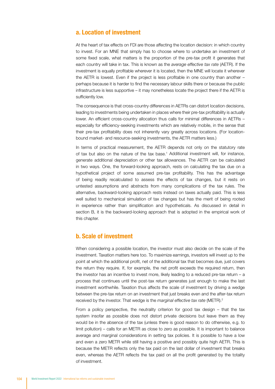#### a. Location of investment

At the heart of tax effects on FDI are those affecting the location decision: in which country to invest. For an MNE that simply has to choose where to undertake an investment of some fixed scale, what matters is the proportion of the pre-tax profit it generates that each country will take in tax. This is known as the *average effective tax rate* (AETR). If the investment is equally profitable wherever it is located, then the MNE will locate it wherever the AETR is lowest. Even if the project is less profitable in one country than another – perhaps because it is harder to find the necessary labour skills there or because the public infrastructure is less supportive – it may nonetheless locate the project there if the AETR is sufficiently low.

The consequence is that cross-country differences in AETRs can distort location decisions, leading to investments being undertaken in places where their pre-tax profitability is actually lower. An efficient cross-country allocation thus calls for minimal differences in AETRs – especially for efficiency-seeking investments which are relatively mobile, in the sense that their pre-tax profitability does not inherently vary greatly across locations. (For locationbound market- and resource-seeking investments, the AETR matters less.)

In terms of practical measurement, the AETR depends not only on the statutory rate of tax but also on the nature of the tax base.<sup>1</sup> Additional investment will, for instance, generate additional depreciation or other tax allowances. The AETR can be calculated in two ways. One, the forward-looking approach, rests on calculating the tax due on a hypothetical project of some assumed pre-tax profitability. This has the advantage of being readily recalculated to assess the effects of tax changes, but it rests on untested assumptions and abstracts from many complications of the tax rules. The alternative, backward-looking approach rests instead on taxes actually paid. This is less well suited to mechanical simulation of tax changes but has the merit of being rooted in experience rather than simplification and hypotheticals. As discussed in detail in section B, it is the backward-looking approach that is adopted in the empirical work of this chapter.

#### b. Scale of investment

When considering a possible location, the investor must also decide on the scale of the investment. Taxation matters here too. To maximize earnings, investors will invest up to the point at which the additional profit, net of the additional tax that becomes due, just covers the return they require. If, for example, the net profit exceeds the required return, then the investor has an incentive to invest more, likely leading to a reduced pre-tax return – a process that continues until the post-tax return generates just enough to make the last investment worthwhile. Taxation thus affects the scale of investment by driving a wedge between the pre-tax return on an investment that just breaks even and the after-tax return received by the investor. That wedge is the *marginal effective tax rate* (METR).2

From a policy perspective, the neutrality criterion for good tax design – that the tax system insofar as possible does not distort private decisions but leave them as they would be in the absence of the tax (unless there is good reason to do otherwise, e.g. to limit pollution) – calls for an METR as close to zero as possible. It is important to balance average and marginal considerations in setting tax policies. It is possible to have a low and even a zero METR while still having a positive and possibly quite high AETR. This is because the METR reflects only the tax paid on the last dollar of investment that breaks even, whereas the AETR reflects the tax paid on all the profit generated by the totality of investment.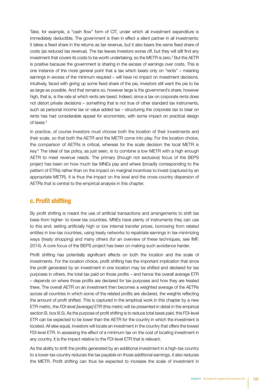Take, for example, a "cash flow" form of CIT, under which all investment expenditure is immediately deductible. The government is then in effect a silent partner in all investments: it takes a fixed share in the returns as tax revenue, but it also bears the same fixed share of costs (as reduced tax revenue). The tax leaves investors worse off, but they will still find any investment that covers its costs to be worth undertaking, so the METR is zero.<sup>3</sup> But the AETR is positive because the government is sharing in the excess of earnings over costs. This is one instance of the more general point that a tax which bears only on "rents" – meaning earnings in excess of the minimum required – will have no impact on investment decisions. Intuitively, faced with giving up some fixed share of the pie, investors still want the pie to be as large as possible. And that remains so, however large is the government's share; however high, that is, is the rate at which rents are taxed. Indeed, since a tax on corporate rents does not distort private decisions – something that is not true of other standard tax instruments, such as personal income tax or value added tax – structuring the corporate tax to bear on rents has had considerable appeal for economists, with some impact on practical design of taxes.4

In practice, of course investors must choose both the location of their investments and their scale, so that both the AETR and the METR come into play. For the location choice, the comparison of AETRs is critical, whereas for the scale decision the local METR is key.<sup>5</sup> The ideal of tax policy, as just seen, is to combine a low METR with a high enough AETR to meet revenue needs. The primary (though not exclusive) focus of the BEPS project has been on how much tax MNEs pay and where (broadly corresponding to the pattern of ETRs) rather than on the impact on marginal incentives to invest (captured by an appropriate METR). It is thus the impact on the level and the cross-country dispersion of AETRs that is central to the empirical analysis in this chapter.

#### c. Profit shifting

By profit shifting is meant the use of artificial transactions and arrangements to shift tax base from higher- to lower-tax countries. MNEs have plenty of instruments they can use to this end: setting artificially high or low internal transfer prices, borrowing from related entities in low-tax countries, using treaty networks to repatriate earnings in tax-minimizing ways (treaty shopping) and many others (for an overview of these techniques, see IMF, 2014). A core focus of the BEPS project has been on making such avoidance harder.

Profit shifting has potentially significant effects on both the location and the scale of investments. For the location choice, profit shifting has the important implication that since the profit generated by an investment in one location may be shifted and declared for tax purposes in others, the total tax paid on those profits – and hence the overall average ETR – depends on where those profits are declared for tax purposes and how they are treated there. The overall AETR on an investment then becomes a weighted average of the AETRs across all countries in which some of the related profits are declared, the weights reflecting the amount of profit shifted. This is captured in the empirical work in this chapter by a new ETR metric, the *FDI-level [average] ETR* (this metric will be presented in detail in the empirical section B, box III.5). As the purpose of profit shifting is to reduce total taxes paid, this FDI-level ETR can be expected to be lower than the AETR for the country in which the investment is located. All else equal, investors will locate an investment in the country that offers the lowest FDI-level ETR. In assessing the effect of a minimum tax on the cost of locating investment in any country, it is the impact relative to the FDI-level ETR that is relevant.

As the ability to shift the profits generated by an additional investment in a high-tax country to a lower-tax country reduces the tax payable on those additional earnings, it also reduces the METR. Profit shifting can thus be expected to increase the scale of investment in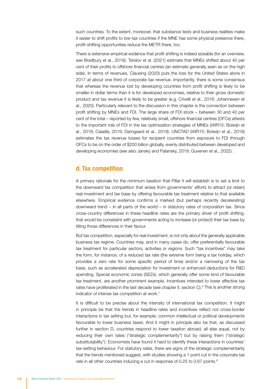such countries. To the extent, moreover, that substance tests and business realities make it easier to shift profits to low-tax countries if the MNE has some physical presence there, profit-shifting opportunities reduce the METR there, too.

There is extensive empirical evidence that profit shifting is indeed sizeable (for an overview, see Bradbury et al., 2018). Tørslov et al. (2021) estimate that MNEs shifted about 40 per cent of their profits to offshore financial centres (an estimate generally seen as on the high side). In terms of revenues, Clausing (2020) puts the loss for the United States alone in 2017 at about one third of corporate tax revenue. Importantly, there is some consensus that whereas the revenue lost by developing countries from profit shifting is likely to be smaller in dollar terms than it is for developed economies, relative to their gross domestic product and tax revenue it is likely to be greater (e.g. Crivelli et al., 2016; Johannesen et al., 2020). Particularly relevant to the discussion in this chapter is the connection between profit shifting by MNEs and FDI. The large share of FDI stock – between 30 and 40 per cent of the total – reported by few, relatively small, offshore financial centres (OFCs) attests to the important role of FDI in the tax optimization strategies of MNEs (*WIR15*; Bolwijn et al., 2018; Casella, 2019; Damgaard et al., 2019). UNCTAD (*WIR15*; Bolwijn et al., 2018) estimates the tax revenue losses for recipient countries from exposure to FDI through OFCs to be on the order of \$200 billion globally, evenly distributed between developed and developing economies (see also Janský and Palanský, 2019; Guvenen et al., 2022).

#### d. Tax competition

A primary rationale for the minimum taxation that Pillar II will establish is to set a limit to the downward tax competition that arises from governments' efforts to attract (or retain) real investment and tax base by offering favourable tax treatment relative to that available elsewhere. Empirical evidence confirms a marked (but perhaps recently decelerating) downward trend – in all parts of the world – in statutory rates of corporation tax. Since cross-country differences in these headline rates are the primary driver of profit shifting, that would be consistent with governments acting to increase (or protect) their tax base by tilting those differences in their favour.

But tax competition, especially for real investment, is not only about the generally applicable business tax regime. Countries may, and in many cases do, offer preferentially favourable tax treatment for particular sectors, activities or regions. Such "tax incentives" may take the form, for instance, of a reduced tax rate (the extreme form being a tax holiday, which provides a zero rate for some specific period of time) and/or a narrowing of the tax base, such as accelerated depreciation for investment or enhanced deductions for R&D spending. Special economic zones (SEZs), which generally offer some kind of favourable tax treatment, are another prominent example. Incentives intended to lower effective tax rates have proliferated in the last decade (see chapter II, section C).<sup>6</sup> This is another strong indicator of intense tax competition at work.7

It is difficult to be precise about the intensity of international tax competition. It might in principle be that the trends in headline rates and incentives reflect not cross-border interactions in tax setting but, for example, common intellectual or political developments favourable to lower business taxes. And it might in principle also be that, as discussed further in section D, countries respond to lower taxation abroad, all else equal, not by reducing their own rates ("strategic complementarity") but by raising them ("strategic substitutability"). Economists have found it hard to identify these interactions in countries' tax-setting behaviour. For statutory rates, there are signs of the strategic complementarity that the trends mentioned suggest, with studies showing a 1 point cut in the corporate tax rate in all other countries inducing a cut in response of 0.25 to 0.67 points.<sup>8</sup>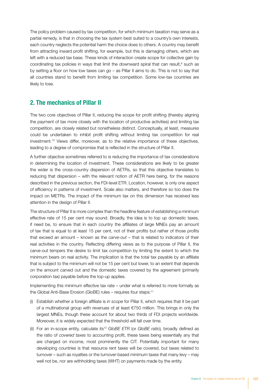The policy problem caused by tax competition, for which minimum taxation may serve as a partial remedy, is that in choosing the tax system best suited to a country's own interests, each country neglects the potential harm the choice does to others. A country may benefit from attracting inward profit shifting, for example, but this is damaging others, which are left with a reduced tax base. These kinds of interaction create scope for collective gain by coordinating tax policies in ways that limit the downward spiral that can result, $9$  such as by setting a floor on how low taxes can go – as Pillar II aims to do. This is not to say that all countries stand to benefit from limiting tax competition. Some low-tax countries are likely to lose.

#### 2. The mechanics of Pillar II

The two core objectives of Pillar II, reducing the scope for profit shifting (thereby aligning the payment of tax more closely with the location of productive activities) and limiting tax competition, are closely related but nonetheless distinct. Conceptually, at least, measures could be undertaken to inhibit profit shifting without limiting tax competition for real investment.10 Views differ, moreover, as to the relative importance of these objectives, leading to a degree of compromise that is reflected in the structure of Pillar II.

A further objective sometimes referred to is reducing the importance of tax considerations in determining the location of investment. These considerations are likely to be greater the wider is the cross-country dispersion of AETRs, so that this objective translates to reducing that dispersion – with the relevant notion of AETR here being, for the reasons described in the previous section, the FDI-level ETR. Location, however, is only one aspect of efficiency in patterns of investment. Scale also matters, and therefore so too does the impact on METRs. The impact of the minimum tax on this dimension has received less attention in the design of Pillar II.

The structure of Pillar II is more complex than the headline feature of establishing a minimum effective rate of 15 per cent may sound. Broadly, the idea is to top up domestic taxes, if need be, to ensure that in each country the affiliates of large MNEs pay an amount of tax that is equal to at least 15 per cent, not of their profits but rather of those profits that exceed an amount – known as the *carve-out* – that is related to indicators of their real activities in the country. Reflecting differing views as to the purpose of Pillar II, the carve-out tempers the desire to limit tax competition by limiting the extent to which the minimum bears on real activity. The implication is that the total tax payable by an affiliate that is subject to the minimum will not be 15 per cent but lower, to an extent that depends on the amount carved out and the domestic taxes covered by the agreement (primarily corporation tax) payable before the top-up applies.

Implementing this minimum effective tax rate – under what is referred to more formally as the Global Anti-Base Erosion (GloBE) rules - requires four steps:<sup>11</sup>

- (i) Establish whether a foreign affiliate is *in scope* for Pillar II, which requires that it be part of a multinational group with revenues of at least €750 million. This brings in only the largest MNEs, though these account for about two thirds of FDI projects worldwide. Moreover, it is widely expected that the threshold will fall over time.
- (ii) For an in-scope entity, calculate its12 *GloBE ETR* (or *GloBE ratio*)*,* broadly defined as the ratio of *covered taxes* to accounting profit, these taxes being essentially any that are charged on income, most prominently the CIT. Potentially important for many developing countries is that resource rent taxes will be covered, but taxes related to turnover – such as royalties or the turnover-based minimum taxes that many levy – may well not be, nor are withholding taxes (WHT) on payments made by the entity.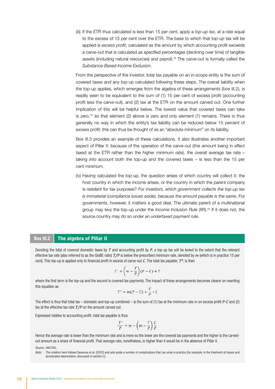(iii) If the ETR thus calculated is less than 15 per cent, apply a *top-up tax*, at a rate equal to the excess of 15 per cent over the ETR. The base to which that top-up tax will be applied is *excess profit*, calculated as the amount by which accounting profit exceeds a carve-out that is calculated as specified percentages (declining over time) of tangible assets (including natural resources) and payroll.<sup>13</sup> The carve-out is formally called the *Substance-Based Income Exclusion*.

From the perspective of the investor, total tax payable on an in-scope entity is the sum of covered taxes and any top-up calculated following these steps. The overall liability when the top-up applies, which emerges from the algebra of these arrangements (box III.2), is readily seen to be equivalent to the sum of (1) 15 per cent of excess profit (accounting profit less the carve-out), and (2) tax at the ETR on the amount carved out. One further implication of this will be helpful below. The lowest value that covered taxes can take is zero, $14$  so that element (2) above is zero and only element (1) remains. There is thus generally no way in which the entity's tax liability can be reduced below 15 percent of excess profit: this can thus be thought of as an "absolute minimum" on its liability.

Box III.3 provides an example of these calculations. It also illustrates another important aspect of Pillar II: because of the operation of the carve-out (this amount being in effect taxed at the ETR rather than the higher minimum rate), the overall average tax rate – taking into account both the top-up and the covered taxes – is less than the 15 per cent minimum.

(iv) Having calculated the top-up, the question arises of which country will collect it: the host country in which the income arises, or the country in which the parent company is resident for tax purposes? *For investors, which government collects the top-up tax is immaterial (compliance issues aside), because the amount payable is the same*. For governments, however, it matters a good deal. The ultimate parent of a multinational group may levy the top-up under the *Income Inclusion Rule* (IIR).15 If it does not, the source country may do so under an *undertaxed payment rule*.

#### Box III.2 | The algebra of Pillar II

Denoting the total of covered domestic taxes by *T* and accounting profit by *P*, a top-up tax will be levied to the extent that the relevant effective tax rate (also referred to as the GloBE ratio) *T/P* is below the prescribed minimum rate, denoted by *m* (which is in practice 15 per cent). This top-up is applied only to financial profit in excess of carve-out *C*. The total tax payable, *T\**, is then

$$
T^* = \left(m - \frac{T}{P}\right)(P - C) + T
$$

where the first term is the top-up and the second is covered tax payments. The impact of these arrangements becomes clearer on rewriting this equation as

$$
T^* = m(P - C) + \frac{T}{P} * C
$$

The effect is thus that total tax – domestic and top-up combined – is the sum of (1) tax at the minimum rate m on excess profit *P*-*C* and (2) tax at the effective tax rate *T/P* on the amount carved out.

Expressed relative to accounting profit, total tax payable is thus

$$
\frac{T^*}{P} = m - \left(m - \frac{T}{P}\right)\frac{C}{P}
$$

Hence the average rate is lower than the minimum rate and is more so the lower are the covered tax payments and the higher is the carvedout amount as a share of financial profit. That average rate, nonetheless, is higher than it would be in the absence of Pillar II.

*Source:* UNCTAD.

*Note:* The notation here follows Devereux et al. (2022) and sets aside a number of complications that can arise in practice (for example, in the treatment of losses and accelerated depreciation, discussed in section C).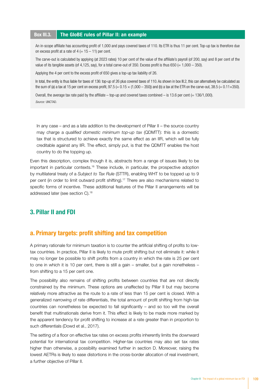#### Box III.3. The GloBE rules of Pillar II: an example

An in-scope affiliate has accounting profit of 1,000 and pays covered taxes of 110. Its ETR is thus 11 per cent. Top-up tax is therefore due on excess profit at a rate of  $4 (= 15 - 11)$  per cent.

The carve-out is calculated by applying (at 2023 rates) 10 per cent of the value of the affiliate's payroll (of 200, say) and 8 per cent of the value of its tangible assets (of 4,125, say), for a total carve-out of 350. Excess profit is thus 650 (=  $1,000 - 350$ ).

Applying the 4 per cent to the excess profit of 650 gives a top-up tax liability of 26.

In total, the entity is thus liable for taxes of 136: top-up of 26 plus covered taxes of 110. As shown in box III.2, this can alternatively be calculated as the sum of (a) a tax at 15 per cent on excess profit,  $97.5 (= 0.15 \times (1,000 - 350))$  and (b) a tax at the ETR on the carve-out, 38.5 (= 0.11×350).

Overall, the average tax rate paid by the affiliate – top-up and covered taxes combined – is 13.6 per cent (=  $136/1,000$ ). *Source:* UNCTAD.

In any case – and as a late addition to the development of Pillar II – the source country may charge a *qualified domestic minimum top-up tax* (QDMTT): this is a domestic tax that is structured to achieve exactly the same effect as an IIR, which will be fully creditable against any IIR. The effect, simply put, is that the QDMTT enables the host country to do the topping up.

Even this description, complex though it is, abstracts from a range of issues likely to be important in particular contexts.16 These include, in particular, the prospective adoption by multilateral treaty of a *Subject to Tax Rule* (STTR), enabling WHT to be topped up to 9 per cent (in order to limit outward profit shifting).17 There are also mechanisms related to specific forms of incentive. These additional features of the Pillar II arrangements will be addressed later (see section C).18

#### 3. Pillar II and FDI

#### a. Primary targets: profit shifting and tax competition

A primary rationale for minimum taxation is to counter the artificial shifting of profits to lowtax countries. In practice, Pillar II is likely to mute profit shifting but not eliminate it: while it may no longer be possible to shift profits from a country in which the rate is 25 per cent to one in which it is 10 per cent, there is still a gain – smaller, but a gain nonetheless – from shifting to a 15 per cent one.

The possibility also remains of shifting profits between countries that are not directly constrained by the minimum. These options are unaffected by Pillar II but may become relatively more attractive as the route to a rate of less than 15 per cent is closed. With a generalized narrowing of rate differentials, the total amount of profit shifting from high-tax countries can nonetheless be expected to fall significantly – and so too will the overall benefit that multinationals derive from it. This effect is likely to be made more marked by the apparent tendency for profit shifting to increase at a rate greater than in proportion to such differentials (Dowd et al., 2017).

The setting of a floor on effective tax rates on excess profits inherently limits the downward potential for international tax competition. Higher-tax countries may also set tax rates higher than otherwise, a possibility examined further in section D. Moreover, raising the lowest AETRs is likely to ease distortions in the cross-border allocation of real investment, a further objective of Pillar II.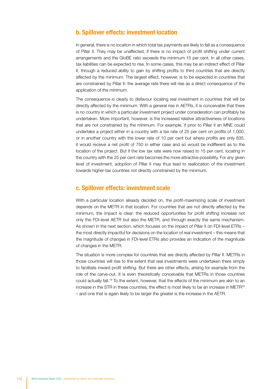#### b. Spillover effects: investment location

In general, there is no location in which total tax payments are likely to fall as a consequence of Pillar II. They may be unaffected, if there is no impact of profit shifting under current arrangements and the GloBE ratio exceeds the minimum 15 per cent. In all other cases, tax liabilities can be expected to rise. In some cases, this may be an indirect effect of Pillar II, through a reduced ability to gain by shifting profits to third countries that are directly affected by the minimum. The largest effect, however, is to be expected in countries that are constrained by Pillar II: the average rate there will rise as a direct consequence of the application of the minimum.

The consequence is clearly to disfavour locating real investment in countries that will be directly affected by the minimum. With a general rise in AETRs, it is conceivable that there is no country in which a particular investment project under consideration can profitably be undertaken. More important, however, is the increased relative attractiveness of locations that are not constrained by the minimum. For example, if prior to Pillar II an MNE could undertake a project either in a country with a tax rate of 25 per cent on profits of 1,000, or in another country with the lower rate of 10 per cent but where profits are only 835, it would receive a net profit of 750 in either case and so would be indifferent as to the location of the project. But if the low tax rate were now raised to 15 per cent, locating in the country with the 25 per cent rate becomes the more attractive possibility. For any given level of investment, adoption of Pillar II may thus lead to reallocation of the investment towards higher-tax countries not directly constrained by the minimum.

#### c. Spillover effects: investment scale

With a particular location already decided on, the profit-maximizing scale of investment depends on the METR in that location. For countries that are not directly affected by the minimum, the impact is clear: the reduced opportunities for profit shifting increase not only the FDI-level AETR but also the METR, and through exactly the same mechanism. As shown in the next section, which focuses on the impact of Pillar II on FDI-level ETRs – the most directly impactful for decisions on the location of real investment – this means that the magnitude of changes in FDI-level ETRs also provides an indication of the magnitude of changes in the METR.

The situation is more complex for countries that are directly affected by Pillar II. METRs in those countries will rise to the extent that real investments were undertaken there simply to facilitate inward profit shifting. But there are other effects, arising for example from the role of the carve-out. It is even theoretically conceivable that METRs in those countries could actually fall.19 To the extent, however, that the effects of the minimum are akin to an increase in the STR in these countries, the effect is most likely to be an increase in METR<sup>20</sup> – and one that is again likely to be larger the greater is the increase in the AETR.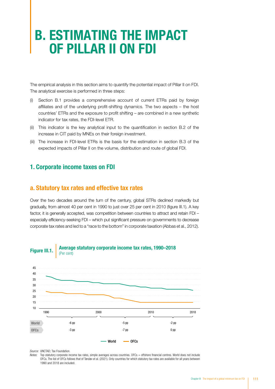# B. ESTIMATING THE IMPACT OF PILLAR II ON FDI

The empirical analysis in this section aims to quantify the potential impact of Pillar II on FDI. The analytical exercise is performed in three steps:

- (i) Section B.1 provides a comprehensive account of current ETRs paid by foreign affiliates and of the underlying profit-shifting dynamics. The two aspects – the host countries' ETRs and the exposure to profit shifting – are combined in a new synthetic indicator for tax rates, the FDI-level ETR.
- (ii) This indicator is the key analytical input to the quantification in section B.2 of the increase in CIT paid by MNEs on their foreign investment.
- (iii) The increase in FDI-level ETRs is the basis for the estimation in section B.3 of the expected impacts of Pillar II on the volume, distribution and route of global FDI.

#### 1. Corporate income taxes on FDI

#### a. Statutory tax rates and effective tax rates

Over the two decades around the turn of the century, global STRs declined markedly but gradually, from almost 40 per cent in 1990 to just over 25 per cent in 2010 (figure III.1). A key factor, it is generally accepted, was competition between countries to attract and retain FDI – especially efficiency-seeking FDI – which put significant pressure on governments to decrease corporate tax rates and led to a "race to the bottom" in corporate taxation (Abbas et al., 2012).



#### Figure III.1. Average statutory corporate income tax rates, 1990–2018 (Per cent)



*Source:* UNCTAD; Tax Foundation.

*Notes:* Top statutory corporate income tax rates, simple averages across countries. OFCs = offshore financial centres. World does not include OFCs. The list of OFCs follows that of Tørsløv et al. (2021). Only countries for which statutory tax rates are available for all years between 1990 and 2018 are included.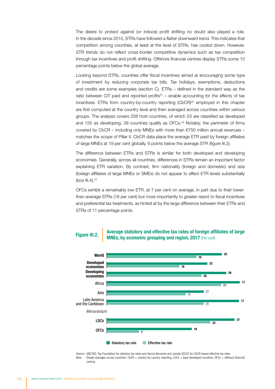The desire to protect against (or induce) profit shifting no doubt also played a role. In the decade since 2010, STRs have followed a flatter downward trend. This indicates that competition among countries, at least at the level of STRs, has cooled down. However, STR trends do not reflect cross-border competitive dynamics such as tax competition through tax incentives and profit shifting. Offshore financial centres display STRs some 10 percentage points below the global average.

Looking beyond STRs, countries offer fiscal incentives aimed at encouraging some type of investment by reducing corporate tax bills. Tax holidays, exemptions, deductions and credits are some examples (section C). ETRs – defined in the standard way as the ratio between CIT paid and reported profits $21$  – enable accounting for the effects of tax incentives. ETRs from country-by-country reporting  $(CbCR)^{22}$  employed in this chapter are first computed at the country level and then averaged across countries within various groups. The analysis covers 208 host countries, of which 53 are classified as developed and 155 as developing; 39 countries qualify as  $OFCs<sup>23</sup>$  Notably, the perimeter of firms covered by CbCR – including only MNEs with more than  $E$ 750 million annual revenues – matches the scope of Pillar II. CbCR data place the average ETR paid by foreign affiliates of large MNEs at 19 per cent globally, 6 points below the average STR (figure III.2).

The difference between ETRs and STRs is similar for both developed and developing economies. Generally, across all countries, differences in STRs remain an important factor explaining ETR variation. By contrast, firm nationality (foreign and domestic) and size (foreign affiliates of large MNEs or SMEs) do not appear to affect ETR levels substantially (box III.4). $^{24}$ 

OFCs exhibit a remarkably low ETR, at 7 per cent on average, in part due to their lowerthan-average STRs (18 per cent) but more importantly to greater resort to fiscal incentives and preferential tax treatments, as hinted at by the large difference between their ETRs and STRs of 11 percentage points.

#### Statutory tax rate Effective tax rate 25  $22$ 26 20  $\overline{21}$ 28 27 18  $\overline{10}$ 16  $\overline{20}$  $\overline{25}$ 17  $\overline{21}$  $\overline{22}$  $\overline{\phantom{a}}$ World Developed economies Developing economies Africa Asia Latin America and the Caribbean LDCs *Memorandum* OFCs

Average statutory and effective tax rates of foreign affiliates of large Figure III.2. **Exercise Statutory and enective tax rates of foreign and region.** 

*Source:* UNCTAD; Tax Foundation for statutory tax rates and Garcia-Bernardo and Janský (2022) for CbCR-based effective tax rates. *Note:* Simple averages across countries. CbCR = country-by-country reporting, LDCs = least developed countries, OFCs = offshore financial centres.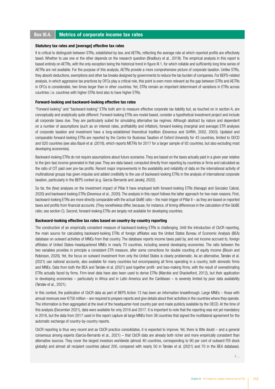#### Box III.4. Metrics of corporate income tax rates

#### Statutory tax rates and [average] effective tax rates

It is critical to distinguish between STRs, established by law, and AETRs, reflecting the average rate at which reported profits are effectively taxed. Whether to use one or the other depends on the research question (Bradbury et al., 2018). The empirical analysis in this report is based entirely on AETRs, with the only exception being the historical trend in figure III.1, for which reliable and sufficiently long time series of AETRs are not available. For the purpose of this analysis, AETRs provide a more comprehensive picture of corporate taxation. Unlike STRs, they absorb deductions, exemptions and other tax breaks designed by governments to reduce the tax burden of companies. For BEPS-related analysis, in which aggressive tax practices by OFCs play a critical role, this point is even more relevant as the gap between STRs and AETRs in OFCs is considerable, two times larger than in other countries. Yet, STRs remain an important determinant of variations in ETRs across countries: i.e. countries with higher STRs tend also to have higher ETRs.

#### Forward-looking and backward-looking effective tax rates

"Forward-looking" and "backward-looking" ETRs both aim to measure effective corporate tax liability but, as touched on in section A, are conceptually and analytically quite different. Forward-looking ETRs are model based, consider a hypothetical investment project and include all corporate taxes due. They are particularly suited for simulating alternative tax regimes. Although abstract by nature and dependent on a number of assumptions (such as on interest rates, profitability and inflation), forward-looking (marginal and average) ETR analyses of corporate taxation and investment have a long-established theoretical tradition (Devereux and Griffith, 2002, 2003). Updated and comparable forward-looking ETRs are reported by the Centre for Business Taxation of Oxford University for 43 countries, limited to OECD and G20 countries (see also Bazel et al. (2018), which reports METRs for 2017 for a larger sample of 92 countries, but also excluding most developing economies).

Backward-looking ETRs do not require assumptions about future scenarios. They are based on the taxes actually paid in a given year relative to the (pre-tax) income generated in that year. They are data based, computed directly from reporting by countries or firms and calculated as the ratio of CIT paid over pre-tax profits. Recent major improvements in the availability and reliability of data on the international activity of multinational groups has given impulse and added credibility to the use of backward-looking ETRs in the analysis of international corporate taxation, particularly in the BEPS context (e.g. Garcia-Bernardo and Janský, 2022).

So far, the (few) analyses on the investment impact of Pillar II have employed both forward-looking ETRs (Hanappi and Gonzalez Cabral, 2020) and backward-looking ETRs (Devereux et al., 2020). The analysis in this report follows the latter approach for two main reasons. First, backward-looking ETRs are more directly comparable with the actual GloBE ratio – the main trigger of Pillar II – as they are based on reported taxes and profits from financial accounts. (They nonetheless differ, because, for instance, of timing differences in the calculation of the GloBE ratio; see section C). Second, forward-looking ETRs are largely not available for developing countries.

#### Backward-looking effective tax rates based on country-by-country reporting

The construction of an empirically consistent measure of backward-looking ETRs is challenging. Until the introduction of CbCR reporting, the main source for calculating backward-looking ETRs of foreign affiliates was the United States Bureau of Economic Analysis (BEA) database on outward activities of MNEs from that country. The database reports income taxes paid by, and net income accrued to, foreign affiliates of United States–headquartered MNEs in nearly 70 countries, including several developing economies. The ratio between the two variables provides in principle a consistent ETR measure, after some corrections for double counting of equity income (Blouin and Robinson, 2020). Yet, the focus on outward investment from only the United States is clearly problematic. As an alternative, Tørsløv et al. (2021) use national accounts, also available for many countries but encompassing all firms operating in a country, both domestic firms and MNEs. Data from both the BEA and Tørsløv et al. (2021) pool together profit- and loss-making firms, with the result of overestimating ETRs actually faced by firms. Firm-level data have also been used to derive ETRs (Marckle and Shackelford, 2012), but their application in developing economies – particularly in Africa and in Latin America and the Caribbean – is severely limited by poor data availability (Tørsløv et al., 2021).

In this context, the publication of CbCR data as part of BEPS Action 13 has been an information breakthrough. Large MNEs – those with annual revenues over €750 million – are required to prepare reports and give details about their activities in the countries where they operate. The information is then aggregated at the level of the headquarter-host country pair and made publicly available by the OECD. At the time of this analysis (December 2021), data were available for only 2016 and 2017. It is important to note that the reporting was not yet mandatory in 2016, but the data from 2017 used in this report capture all large MNEs from 38 countries that signed the multilateral agreement for the automatic exchange of country-by-country reports.

CbCR reporting is thus very recent and as CbCR practice consolidates, it is expected to improve. Yet, there is little doubt – and a general consensus among experts (Garcia-Bernardo et al., 2021) – that CbCR data are already both richer and more empirically consistent than alternative sources. They cover the largest investors worldwide (almost 40 countries, corresponding to 90 per cent of outward FDI stock globally) and almost all recipient countries (about 200, compared with nearly 50 in Tørsløv et al. (2021) and 70 in the BEA database).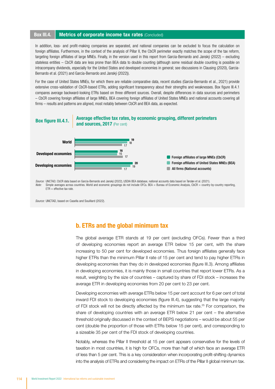#### **Box III.4.** Metrics of corporate income tax rates (Concluded)

In addition, loss- and profit-making companies are separated, and national companies can be excluded to focus the calculation on foreign affiliates. Furthermore, in the context of the analysis of Pillar II, the CbCR perimeter exactly matches the scope of the tax reform, targeting foreign affiliates of large MNEs. Finally, in the version used in this report from Garcia-Bernardo and Janský (2022) – excluding stateless entities – CbCR data are less prone than BEA data to double counting (although some residual double counting is possible on intracompany dividends, especially for the United States and developed economies in general; see discussions in Clausing (2020), Garcia-Bernardo et al. (2021) and Garcia-Bernardo and Janský (2022)).

For the case of United States MNEs, for which there are reliable comparative data, recent studies (Garcia-Bernardo et al., 2021) provide extensive cross-validation of CbCR-based ETRs, adding significant transparency about their strengths and weaknesses. Box figure III.4.1 compares average backward-looking ETRs based on three different sources. Overall, despite differences in data sources and perimeters – CbCR covering foreign affiliates of large MNEs, BEA covering foreign affiliates of United States MNEs and national accounts covering all firms – results and patterns are aligned, most notably between CbCR and BEA data, as expected.



 $ETR =$  effective tax rate.

*Source:* UNCTAD, based on Casella and Souillard (2022).

#### b. ETRs and the global minimum tax

The global average ETR stands at 19 per cent (excluding OFCs). Fewer than a third of developing economies report an average ETR below 15 per cent, with the share increasing to 50 per cent for developed economies. Thus foreign affiliates generally face higher ETRs than the minimum Pillar II rate of 15 per cent and tend to pay higher ETRs in developing economies than they do in developed economies (figure III.3). Among affiliates in developing economies, it is mainly those in small countries that report lower ETRs. As a result, weighting by the size of countries – captured by share of FDI stock – increases the average ETR in developing economies from 20 per cent to 23 per cent.

Developing economies with average ETRs below 15 per cent account for 6 per cent of total inward FDI stock to developing economies (figure III.4), suggesting that the large majority of FDI stock will not be directly affected by the minimum tax rate.25 For comparison, the share of developing countries with an average ETR below 21 per cent – the alternative threshold originally discussed in the context of BEPS negotiations – would be about 55 per cent (double the proportion of those with ETRs below 15 per cent), and corresponding to a sizeable 35 per cent of the FDI stock of developing countries.

Notably, whereas the Pillar II threshold at 15 per cent appears conservative for the levels of taxation in most countries, it is high for OFCs, more than half of which face an average ETR of less than 5 per cent. This is a key consideration when incorporating profit-shifting dynamics into the analysis of ETRs and considering the impact on ETRs of the Pillar II global minimum tax.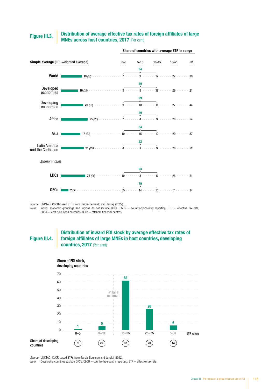#### Distribution of average effective tax rates of foreign affiliates of large **MNEs across host countries, 2017** (Per cent) Figure III.3.



Share of countries with average ETR in range

*Source:* UNCTAD; CbCR-based ETRs from Garcia-Bernardo and Janský (2022).

*Note:* World, economic groupings and regions do not include OFCs. CbCR = country-by-country reporting, ETR = effective tax rate,  $LDCs =$  least developed countries,  $OFCs =$  offshore financial centres.

Figure III.4.

#### Distribution of inward FDI stock by average effective tax rates of foreign affiliates of large MNEs in host countries, developing countries, 2017 (Per cent)



*Source:* UNCTAD; CbCR-based ETRs from Garcia-Bernardo and Janský (2022).

*Note:* Developing countries exclude OFCs. CbCR = country-by-country reporting, ETR = effective tax rate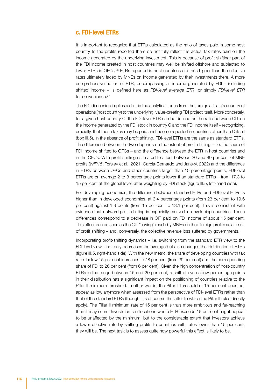#### c. FDI-level ETRs

It is important to recognize that ETRs calculated as the ratio of taxes paid in some host country to the profits reported there do not fully reflect the actual tax rates paid on the income generated by the underlying investment. This is because of profit shifting: part of the FDI income created in host countries may well be shifted offshore and subjected to lower ETRs in OFCs.<sup>26</sup> ETRs reported in host countries are thus higher than the effective rates ultimately faced by MNEs on income generated by their investments there. A more comprehensive notion of ETR, encompassing all income generated by FDI – including shifted income – is defined here as *FDI-level average ETR*, or simply *FDI-level ETR* for convenience.<sup>27</sup>

The FDI dimension implies a shift in the analytical focus from the foreign affiliate's country of operations (host country) to the underlying, value-creating FDI project itself. More concretely, for a given host country C, the FDI-level ETR can be defined as the ratio between CIT on the income generated by the FDI stock in country C and the FDI income itself – recognizing, crucially, that those taxes may be paid and income reported in countries other than C itself (box III.5). In the absence of profit shifting, FDI-level ETRs are the same as standard ETRs. The difference between the two depends on the extent of profit shifting – i.e. the share of FDI income shifted to OFCs – and the difference between the ETR in host countries and in the OFCs. With profit shifting estimated to affect between 20 and 40 per cent of MNE profits (*WIR15*; Tørsløv et al., 2021; Garcia-Bernardo and Janský, 2022) and the difference in ETRs between OFCs and other countries larger than 10 percentage points, FDI-level ETRs are on average 2 to 3 percentage points lower than standard ETRs – from 17.3 to 15 per cent at the global level, after weighting by FDI stock (figure III.5, left-hand side).

For developing economies, the difference between standard ETRs and FDI-level ETRs is higher than in developed economies, at 3.4 percentage points (from 23 per cent to 19.6 per cent) against 1.9 points (from 15 per cent to 13.1 per cent). This is consistent with evidence that outward profit shifting is especially marked in developing countries. These differences correspond to a decrease in CIT paid on FDI income of about 15 per cent. This effect can be seen as the CIT "saving" made by MNEs on their foreign profits as a result of profit shifting – and, conversely, the collective revenue loss suffered by governments.

Incorporating profit-shifting dynamics – i.e. switching from the standard ETR view to the FDI-level view – not only decreases the average but also changes the distribution of ETRs (figure III.5, right-hand side). With the new metric, the share of developing countries with tax rates below 15 per cent increases to 48 per cent (from 29 per cent) and the corresponding share of FDI to 26 per cent (from 6 per cent). Given the high concentration of host-country ETRs in the range between 15 and 20 per cent, a shift of even a few percentage points in their distribution has a significant impact on the positioning of countries relative to the Pillar II minimum threshold. In other words, the Pillar II threshold of 15 per cent does not appear as low anymore when assessed from the perspective of FDI-level ETRs rather than that of the standard ETRs (though it is of course the latter to which the Pillar II rules directly apply). The Pillar II minimum rate of 15 per cent is thus more ambitious and far-reaching than it may seem. Investments in locations where ETR exceeds 15 per cent might appear to be unaffected by the minimum; but to the considerable extent that investors achieve a lower effective rate by shifting profits to countries with rates lower than 15 per cent, they will be. The next task is to assess quite how powerful this effect is likely to be.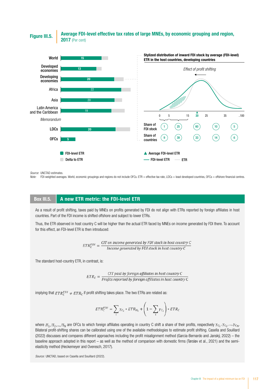Average FDI-level effective tax rates of large MNEs, by economic grouping and region, **Figure III.5. AVerage FDI** 



*Source:* UNCTAD estimates.

*Note:* FDI-weighted averages. World, economic groupings and regions do not include OFCs. ETR = effective tax rate, LDCs = least developed countries, OFCs = offshore financial centres.

#### Box III.5. A new ETR metric: the FDI-level ETR

As a result of profit shifting, taxes paid by MNEs on profits generated by FDI do not align with ETRs reported by foreign affiliates in host countries. Part of the FDI income is shifted offshore and subject to lower ETRs.

Thus, the ETR observed in host country C will be higher than the actual ETR faced by MNEs on income generated by FDI there. To account for this effect, an FDI-level ETR is then introduced:

 $ETR_C^{FDI} = \frac{CIT \text{ on income generated by FDI stock in host country } C}{Income generated by FDI stock in host country } C$ 

The standard host-country ETR, in contrast, is:

 $ETR_C = \frac{CIT \, paid \, by \, foreign \, affiliates \, in \, host \, country \, C}{Profits \, reported \, by \, foreign \, affiliates \, in \, host \, country \, C}$ 

implying that  $ETR_C^{FDI} \neq ETR_C$  if profit shifting takes place. The two ETRs are related as:

$$
ETR_C^{FDI} = \sum_i \gamma_{C_i} * ETR_{H_i} + \left(1 - \sum_i \gamma_{C_i}\right) * ETR_C
$$

where  $H_1, H_2, ..., H_N$  are OFCs to which foreign affiliates operating in country C shift a share of their profits, respectively  $Yc_1, Yc_2, ..., Yc_N$ . Bilateral profit-shifting shares can be calibrated using one of the available methodologies to estimate profit shifting. Casella and Souillard (2022) discusses and compares different approaches including the profit misalignment method (Garcia-Bernardo and Janský, 2022) – the baseline approach adopted in this report – as well as the method of comparison with domestic firms (Tørsløv et al., 2021) and the semielasticity method (Heckemeyer and Overesch, 2017).

*Source:* UNCTAD, based on Casella and Souillard (2022).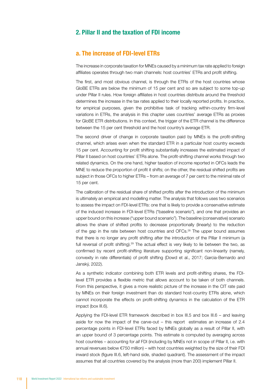#### 2. Pillar II and the taxation of FDI income

#### a. The increase of FDI-level ETRs

The increase in corporate taxation for MNEs caused by a minimum tax rate applied to foreign affiliates operates through two main channels: host countries' ETRs and profit shifting.

The first, and most obvious channel, is through the ETRs of the host countries whose GloBE ETRs are below the minimum of 15 per cent and so are subject to some top-up under Pillar II rules. How foreign affiliates in host countries distribute around the threshold determines the increase in the tax rates applied to their locally reported profits. In practice, for empirical purposes, given the prohibitive task of tracking within-country firm-level variations in ETRs, the analysis in this chapter uses countries' average ETRs as proxies for GloBE ETR distributions. In this context, the trigger of the ETR channel is the difference between the 15 per cent threshold and the host country's average ETR.

The second driver of change in corporate taxation paid by MNEs is the profit-shifting channel, which arises even when the standard ETR in a particular host country exceeds 15 per cent. Accounting for profit shifting substantially increases the estimated impact of Pillar II based on host countries' ETRs alone. The profit-shifting channel works through two related dynamics. On the one hand, higher taxation of income reported in OFCs leads the MNE to reduce the proportion of profit it shifts; on the other, the residual shifted profits are subject in those OFCs to higher ETRs – from an average of 7 per cent to the minimal rate of 15 per cent.

The calibration of the residual share of shifted profits after the introduction of the minimum is ultimately an empirical and modelling matter. The analysis that follows uses two scenarios to assess the impact on FDI-level ETRs: one that is likely to provide a conservative estimate of the induced increase in FDI-level ETRs ("baseline scenario"), and one that provides an upper bound on this increase ("upper bound scenario"). The baseline (conservative) scenario allows the share of shifted profits to decrease proportionally (linearly) to the reduction of the gap in the rate between host countries and OFCs.28 The upper bound assumes that there is no longer any profit shifting after the introduction of the Pillar II minimum (a full reversal of profit shifting).<sup>29</sup> The actual effect is very likely to lie between the two, as confirmed by recent profit-shifting literature supporting significant non-linearity (namely, convexity in rate differentials) of profit shifting (Dowd et al., 2017; Garcia-Bernardo and Janský, 2022).

As a synthetic indicator combining both ETR levels and profit-shifting shares, the FDIlevel ETR provides a flexible metric that allows account to be taken of both channels. From this perspective, it gives a more realistic picture of the increase in the CIT rate paid by MNEs on their foreign investment than do standard host-country ETRs alone, which cannot incorporate the effects on profit-shifting dynamics in the calculation of the ETR impact (box III.6).

Applying the FDI-level ETR framework described in box III.5 and box III.6 – and leaving aside for now the impact of the carve-out – this report estimates an increase of 2.4 percentage points in FDI-level ETRs faced by MNEs globally as a result of Pillar II, with an upper bound of 3 percentage points. This estimate is computed by averaging across host countries – accounting for *all* FDI (including by MNEs not in scope of Pillar II, i.e. with annual revenues below €750 million) – with host countries weighted by the size of their FDI inward stock (figure III.6, left-hand side, shaded quadrant). The assessment of the impact assumes that all countries covered by the analysis (more than 200) implement Pillar II.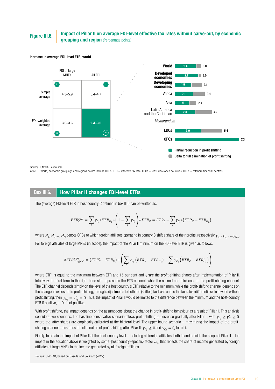## Figure III.6. **Impact of Pillar II on average FDI-level effective tax rates without carve-out, by economic grouping and region (Percentage points)**



#### Increase in average FDI-level ETR, world

*Source:* UNCTAD estimates.

*Note:* World, economic groupings and regions do not include OFCs. ETR = effective tax rate, LDCs = least developed countries, OFCs = offshore financial centres.

#### Box III.6. How Pillar II changes FDI-level ETRs

The (average) FDI-level ETR in host country C defined in box III.5 can be written as:

$$
ETR_C^{FDI} = \sum_i \gamma_{C_i} * ETR_{H_i} + \left(1 - \sum_i \gamma_{C_i}\right) * ETR_C = ETR_C - \sum_i \gamma_{C_i} * (ETR_C - ETR_{H_i})
$$

where  $H_1, H_2, ..., H_N$  denote OFCs to which foreign affiliates operating in country C shift a share of their profits, respectively  $\gamma_{C_1}, \gamma_{C_2}, ..., \gamma_{C_N}$ . For foreign affiliates of large MNEs (in scope), the impact of the Pillar II minimum on the FDI-level ETR is given as follows:

$$
\Delta ETR_{large,C}^{FDI} = (ETR_{C}^{\prime} - ETR_{C}) + \left(\sum_{i} \gamma_{C_{i}} (ETR_{C} - ETR_{H_{i}}) - \sum_{i} \gamma_{C_{i}}^{\prime} (ETR_{C}^{\prime} - ETR_{H_{i}}^{\prime})\right)
$$

where ETR' is equal to the maximum between ETR and 15 per cent and  $\gamma'$  are the profit-shifting shares after implementation of Pillar II. Intuitively, the first term in the right-hand side represents the ETR channel, while the second and third capture the profit-shifting channel. The ETR channel depends simply on the level of the host country's ETR relative to the minimum, while the profit-shifting channel depends on the change in exposure to profit shifting, through adjustments to both the (shifted) tax base and to the tax rates (differentials). In a world without profit shifting, then  $\gamma_{C_i} = \gamma'_{C_i} = 0$ . Thus, the impact of Pillar II would be limited to the difference between the minimum and the host-country ETR if positive, or 0 if not positive.

With profit shifting, the impact depends on the assumptions about the change in profit-shifting behaviour as a result of Pillar II. This analysis considers two scenarios. The baseline conservative scenario allows profit shifting to decrease gradually after Pillar II, with  $\gamma_{C_i} \ge \gamma'_{C_i} \ge 0$ , where the latter shares are empirically calibrated at the bilateral level. The upper-bound scenario – maximizing the impact of the profitshifting channel – assumes the elimination of profit shifting after Pillar II:  $\gamma_{C_i} \geq 0$  and  $\gamma'_{C_i} = 0$ , for all i.

Finally, to obtain the impact of Pillar II at the host-country level – including all foreign affiliates, both in and outside the scope of Pillar II – the impact in the equation above is weighted by some (host country–specific) factor  $\omega_c$  that reflects the share of income generated by foreign affiliates of large MNEs in the income generated by all foreign affiliates

*Source:* UNCTAD, based on Casella and Souillard (2022).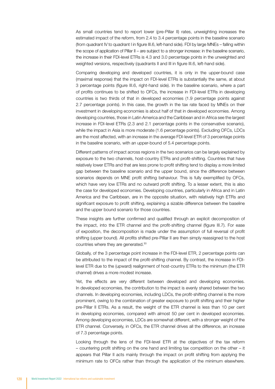As small countries tend to report lower (pre-Pillar II) rates, unweighting increases the estimated impact of the reform, from 2.4 to 3.4 percentage points in the baseline scenario (from quadrant IV to quadrant I in figure III.6, left-hand side). FDI by large MNEs – falling within the scope of application of Pillar II – are subject to a stronger increase: in the baseline scenario, the increase in their FDI-level ETRs is 4.3 and 3.0 percentage points in the unweighted and weighted versions, respectively (quadrants II and III in figure III.6, left-hand side).

Comparing developing and developed countries, it is only in the upper-bound case (maximal response) that the impact on FDI-level ETRs is substantially the same, at about 3 percentage points (figure III.6, right-hand side). In the baseline scenario, where a part of profits continues to be shifted to OFCs, the increase in FDI-level ETRs in developing countries is two thirds of that in developed economies (1.9 percentage points against 2.7 percentage points). In this case, the growth in the tax rate faced by MNEs on their investment in developing economies is about half of that in developed economies. Among developing countries, those in Latin America and the Caribbean and in Africa see the largest increase in FDI-level ETRs (2.3 and 2.1 percentage points in the conservative scenario), while the impact in Asia is more moderate (1.6 percentage points). Excluding OFCs, LDCs are the most affected, with an increase in the average FDI-level ETR of 3 percentage points in the baseline scenario, with an upper-bound of 5.4 percentage points.

Different patterns of impact across regions in the two scenarios can be largely explained by exposure to the two channels, host-country ETRs and profit-shifting. Countries that have relatively lower ETRs and that are less prone to profit shifting tend to display a more limited gap between the baseline scenario and the upper bound, since the difference between scenarios depends on MNE profit shifting behaviour. This is fully exemplified by OFCs, which have very low ETRs and no outward profit shifting. To a lesser extent, this is also the case for developed economies. Developing countries, particularly in Africa and in Latin America and the Caribbean, are in the opposite situation, with relatively high ETRs and significant exposure to profit shifting, explaining a sizable difference between the baseline and the upper bound scenario for those countries.

These insights are further confirmed and qualified through an explicit decomposition of the impact, into the ETR channel and the profit-shifting channel (figure III.7). For ease of exposition, the decomposition is made under the assumption of full reversal of profit shifting (upper bound). All profits shifted pre-Pillar II are then simply reassigned to the host countries where they are generated.30

Globally, of the 3 percentage point increase in the FDI-level ETR, 2 percentage points can be attributed to the impact of the profit-shifting channel. By contrast, the increase in FDIlevel ETR due to the (upward) realignment of host-country ETRs to the minimum (the ETR channel) drives a more modest increase.

Yet, the effects are very different between developed and developing economies. In developed economies, the contribution to the impact is evenly shared between the two channels. In developing economies, including LDCs, the profit-shifting channel is the more prominent, owing to the combination of greater exposure to profit shifting and their higher pre-Pillar II ETRs. As a result, the weight of the ETR channel is less than 10 per cent in developing economies, compared with almost 50 per cent in developed economies. Among developing economies, LDCs are somewhat different, with a stronger weight of the ETR channel. Conversely, in OFCs, the ETR channel drives all the difference, an increase of 7.3 percentage points.

Looking through the lens of the FDI-level ETR at the objectives of the tax reform – countering profit shifting on the one hand and limiting tax competition on the other – it appears that Pillar II acts mainly through the impact on profit shifting from applying the minimum rate to OFCs rather than through the application of the minimum elsewhere.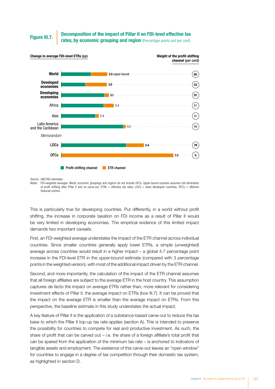#### Decomposition of the impact of Pillar II on FDI-level effective tax Figure III.7. **Figure III.7.** Figure III.7. **Figure III.7.** Fates, by economic grouping and region (Percentage points and per cent)



*Source:* UNCTAD estimates.

*Notes:* FDI-weighted averages. World, economic groupings and regions do not include OFCs. Upper-bound scenario assumes full elimination of profit shifting after Pillar II and no carve-out. ETRs = effective tax rates, LDCs = least developed countries, OFCs = offshore financial centres.

This is particularly true for developing countries. Put differently, in a world without profit shifting, the increase in corporate taxation on FDI income as a result of Pillar II would be very limited in developing economies. The empirical evidence of this limited impact demands two important caveats.

First, an FDI-weighted average understates the impact of the ETR channel across individual countries. Since smaller countries generally apply lower ETRs, a simple (unweighted) average across countries would result in a higher impact – a global 4.7 percentage point increase in the FDI-level ETR in the upper-bound estimate (compared with 3 percentage points in the weighted version), with most of the additional impact driven by the ETR channel.

Second, and more importantly, the calculation of the impact of the ETR channel assumes that all foreign affiliates are subject to the average ETR in the host country. This assumption captures de facto the impact on *average ETRs* rather than, more relevant for considering investment effects of Pillar II, the *average impact* on ETRs (box III.7). It can be proved that the impact on the average ETR is smaller than the average impact on ETRs. From this perspective, the baseline estimate in this study understates the actual impact.

A key feature of Pillar II is the application of a substance-based carve-out to reduce the tax base to which the Pillar II top-up tax rate applies (section A). This is intended to preserve the possibility for countries to compete for real and productive investment. As such, the share of profit that can be carved out – i.e. the share of a foreign affiliate's total profit that can be spared from the application of the minimum tax rate – is anchored to indicators of tangible assets and employment. The existence of this carve-out leaves an "open window" for countries to engage in a degree of tax competition through their domestic tax system, as highlighted in section D.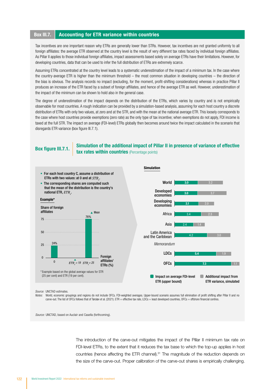#### Box III.7. Accounting for ETR variance within countries

Tax incentives are one important reason why ETRs are generally lower than STRs. However, tax incentives are not granted uniformly to all foreign affiliates: the average ETR observed at the country level is the result of very different tax rates faced by individual foreign affiliates. As Pillar II applies to those individual foreign affiliates, impact assessments based solely on average ETRs have their limitations. However, for developing countries, data that can be used to infer the full distribution of ETRs are extremely scarce.

Assuming ETRs concentrated at the country level leads to a systematic underestimation of the impact of a minimum tax. In the case where the country-average ETR is higher than the minimum threshold – the most common situation in developing countries – the direction of the bias is obvious. The analysis records no impact (excluding, for the moment, profit-shifting considerations) whereas in practice Pillar II produces an increase of the ETR faced by a subset of foreign affiliates, and hence of the average ETR as well. However, underestimation of the impact of the minimum can be shown to hold also in the general case.

The degree of underestimation of the impact depends on the distribution of the ETRs, which varies by country and is not empirically observable for most countries. A rough indication can be provided by a simulation-based analysis, assuming for each host country a discrete distribution of ETRs with only two values, at zero and at the STR, and with the mean at the national average ETR. This loosely corresponds to the case where host countries provide exemptions (zero rate) as the only type of tax incentive; when exemptions do not apply, FDI income is taxed at the full STR. The impact on average (FDI-level) ETRs globally then becomes around twice the impact calculated in the scenario that disregards ETR variance (box figure III.7.1).

Box figure III.7.1. Simulation of the additional impact of Pillar II in presence of variance of effective tax rates within countries (Percentage points)



*Source:* UNCTAD estimates.

Notes: World, economic groupings and regions do not include OFCs. FDI-weighted averages. Upper-bound scenario assumes full elimination of profit shifting after Pillar II and no carve-out. The list of OFCs follows that of Tørsløv et al. (2021). ETR = effective tax rate, LDCs = least developed countries, OFCs = offshore financial centres.

*Source:* UNCTAD, based on Auclair and Casella (forthcoming).

The introduction of the carve-out mitigates the impact of the Pillar II minimum tax rate on FDI-level ETRs, to the extent that it reduces the tax base to which the top-up applies in host countries (hence affecting the ETR channel).<sup>31</sup> The magnitude of the reduction depends on the size of the carve-out. Proper calibration of the carve-out shares is empirically challenging.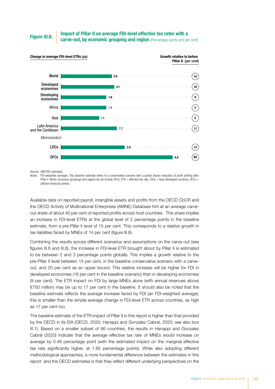Impact of Pillar II on average FDI-level effective tax rates with a Figure III.8. Carve-out, by economic grouping and region (Percentage points and per cent)



*Source:* UNCTAD estimates.

*Notes:* FDI-weighted averages. This baseline estimate refers to a conservative scenario with a partial (linear) reduction of profit shifting after Pillar II. World, economic groupings and regions do not include OFCs. ETR = effective tax rate, LDCs = least developed countries, OFCs = offshore financial centres.

Available data on reported payroll, intangible assets and profits from the OECD CbCR and the OECD Activity of Multinational Enterprises (AMNE) Database hint at an average carveout share of about 40 per cent of reported profits across host countries. This share implies an increase in FDI-level ETRs at the global level of 2 percentage points in the baseline estimate, from a pre-Pillar II level of 15 per cent. This corresponds to a relative growth in tax liabilities faced by MNEs of 14 per cent (figure III.8).

Combining the results across different scenarios and assumptions on the carve-out (see figures III.6 and III.8), the increase in FDI-level ETR brought about by Pillar II is estimated to be between 2 and 3 percentage points globally. This implies a growth relative to the pre-Pillar II level between 14 per cent, in the baseline conservative scenario with a carveout, and 20 per cent as an upper bound. This relative increase will be higher for FDI in developed economies (16 per cent in the baseline scenario) than in developing economies (9 per cent). The ETR impact on FDI by large MNEs alone (with annual revenues above €750 million) may be up to 17 per cent in the baseline. It should also be noted that the baseline estimate reflects the average increase faced by FDI (an FDI-weighted average); this is smaller than the simple average change in FDI-level ETR across countries, as high as 17 per cent too.

The baseline estimate of the ETR impact of Pillar II in this report is higher than that provided by the OECD in its EIA (OECD, 2020; Hanappi and Gonzalez Cabral, 2020; see also box III.1). Based on a smaller subset of 66 countries, the results in Hanappi and Gonzalez Cabral (2020) indicate that the average effective tax rate of MNEs would increase on average by 0.46 percentage point (with the estimated impact on the marginal effective tax rate significantly higher, at 1.85 percentage points). While also adopting different methodological approaches, a more fundamental difference between the estimates in this report and the OECD estimates is that they reflect different underlying perspectives on the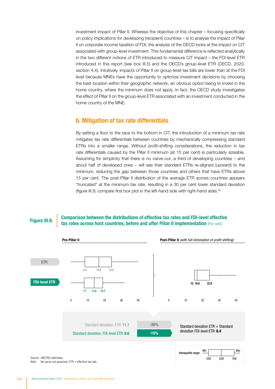investment impact of Pillar II. Whereas the objective of this chapter – focusing specifically on policy implications for developing (recipient) countries – is to analyse the impact of Pillar II on corporate income taxation of FDI, the analysis of the OECD looks at the impact on CIT associated with group-level investment. This fundamental difference is reflected analytically in the two different notions of ETR introduced to measure CIT impact – the FDI-level ETR introduced in this report (see box III.5) and the OECD's group-level ETR (OECD, 2020, section 4.4). Intuitively, impacts of Pillar II on group-level tax bills are lower than at the FDI level because MNEs have the opportunity to optimize investment decisions by choosing the best location within their geographic network, an obvious option being to invest in the home country, where the minimum does not apply. In fact, the OECD study investigates the effect of Pillar II on the group-level ETR associated with an investment conducted in the home country of the MNE.

#### b. Mitigation of tax rate differentials

By setting a floor to the race to the bottom in CIT, the introduction of a minimum tax rate mitigates tax rate differentials between countries by mechanically compressing standard ETRs into a smaller range. Without profit-shifting considerations, the reduction in tax rate differentials caused by the Pillar II minimum (at 15 per cent) is particularly sizeable. Assuming for simplicity that there is no carve-out, a third of developing countries – and about half of developed ones – will see their standard ETRs re-aligned (upward) to the minimum, reducing the gap between those countries and others that have ETRs above 15 per cent. The post-Pillar II distribution of the average ETR across countries appears "truncated" at the minimum tax rate, resulting in a 30 per cent lower standard deviation (figure III.9; compare first box plot in the left-hand side with right-hand side).32

#### Comparison between the distributions of effective tax rates and FDI-level effective Figure III.9. Comparison between the distributions of effective tax rates and i bi-level effective tax rates across host countries, before and after Pillar II implementation (Per cent)



*Source:* UNCTAD estimates. *Note:* No carve-out assumed. ETR = effective tax rate.

| Interquartile range: | Min  |      | Max  |
|----------------------|------|------|------|
|                      | 25th | 50th | 75th |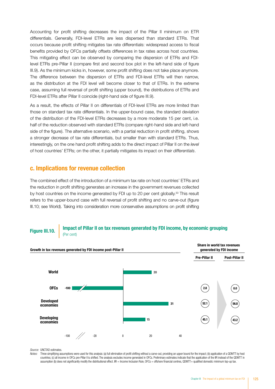Accounting for profit shifting decreases the impact of the Pillar II minimum on ETR differentials. Generally, FDI-level ETRs are less dispersed than standard ETRs. That occurs because profit shifting mitigates tax rate differentials: widespread access to fiscal benefits provided by OFCs partially offsets differences in tax rates across host countries. This mitigating effect can be observed by comparing the dispersion of ETRs and FDIlevel ETRs pre-Pillar II (compare first and second box plot in the left-hand side of figure III.9). As the minimum kicks in, however, some profit shifting does not take place anymore. The difference between the dispersion of ETRs and FDI-level ETRs will then narrow, as the distribution at the FDI level will become closer to that of ETRs. In the extreme case, assuming full reversal of profit shifting (upper bound), the distributions of ETRs and FDI-level ETRs after Pillar II coincide (right-hand side of figure III.9).

As a result, the effects of Pillar II on differentials of FDI-level ETRs are more limited than those on standard tax rate differentials. In the upper-bound case, the standard deviation of the distribution of the FDI-level ETRs decreases by a more moderate 15 per cent, i.e. half of the reduction observed with standard ETRs (compare right-hand side and left-hand side of the figure). The alternative scenario, with a partial reduction in profit shifting, shows a stronger decrease of tax rate differentials, but smaller than with standard ETRs. Thus, interestingly, on the one hand profit shifting adds to the direct impact of Pillar II on the *level* of host countries' ETRs; on the other, it partially mitigates its impact on their *differentials*.

#### c. Implications for revenue collection

The combined effect of the introduction of a minimum tax rate on host countries' ETRs and the reduction in profit shifting generates an increase in the government revenues collected by host countries on the income generated by FDI up to 20 per cent globally.<sup>33</sup> This result refers to the upper-bound case with full reversal of profit shifting and no carve-out (figure III.10; see World). Taking into consideration more conservative assumptions on profit shifting







*Source:* UNCTAD estimates.

Notes: Three simplifying assumptions were used for this analysis: (a) full elimination of profit shifting without a carve-out, providing an upper bound for the impact; (b) application of a QDMTT by host countries; (c) all income in OFCs pre-Pillar II is shifted. The analysis excludes income generated in OFCs. Preliminary estimates indicate that the application of the IIR instead of the QDMTT in assumption (b) does not significantly modify the distributional effect. IIR = Income Inclusion Rule, OFCs = offshore financial centres, QDMTT= qualified domestic minimum top-up tax.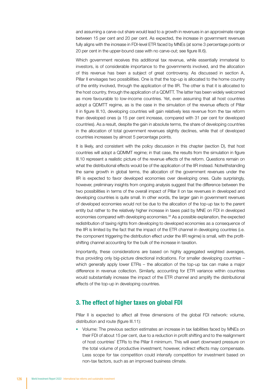and assuming a carve-out share would lead to a growth in revenues in an approximate range between 15 per cent and 20 per cent. As expected, the increase in government revenues fully aligns with the increase in FDI-level ETR faced by MNEs (at some 3 percentage points or 20 per cent in the upper-bound case with no carve-out; see figure III.6).

Which government receives this additional tax revenue, while essentially immaterial to investors, is of considerable importance to the governments involved, and the allocation of this revenue has been a subject of great controversy. As discussed in section A, Pillar II envisages two possibilities. One is that the top-up is allocated to the home country of the entity involved, through the application of the IIR. The other is that it is allocated to the host country, through the application of a QDMTT. The latter has been widely welcomed as more favourable to low-income countries. Yet, even assuming that all host countries adopt a QDMTT regime, as is the case in the simulation of the revenue effects of Pillar II in figure III.10, developing countries will gain relatively less revenue from the tax reform than developed ones (a 15 per cent increase, compared with 31 per cent for developed countries). As a result, despite the gain in absolute terms, the share of developing countries in the allocation of total government revenues slightly declines, while that of developed countries increases by almost 5 percentage points.

It is likely, and consistent with the policy discussion in this chapter (section D), that host countries will adopt a QDMMT regime; in that case, the results from the simulation in figure III.10 represent a realistic picture of the revenue effects of the reform. Questions remain on what the distributional effects would be of the application of the IIR instead. Notwithstanding the same growth in global terms, the allocation of the government revenues under the IIR is expected to favor developed economies over developing ones. Quite surprisingly, however, preliminary insights from ongoing analysis suggest that the difference between the two possibilities in terms of the overall impact of Pillar II on tax revenues in developed and developing countries is quite small. In other words, the larger gain in government revenues of developed economies would not be due to the allocation of the top-up tax to the parent entity but rather to the relatively higher increase in taxes paid by MNE on FDI in developed economies compared with developing economies.<sup>34</sup> As a possible explanation, the expected redistribution of taxing rights from developing to developed economies as a consequence of the IIR is limited by the fact that the impact of the ETR channel in developing countries (i.e. the component triggering the distribution effect under the IIR regime) is small, with the profitshifting channel accounting for the bulk of the increase in taxation.

Importantly, these considerations are based on highly aggregated weighted averages, thus providing only big-picture directional indications. For smaller developing countries – which generally apply lower ETRs – the allocation of the top-up tax can make a major difference in revenue collection. Similarly, accounting for ETR variance within countries would substantially increase the impact of the ETR channel and amplify the distributional effects of the top-up in developing countries.

#### 3. The effect of higher taxes on global FDI

Pillar II is expected to affect all three dimensions of the global FDI network: volume, distribution and route (figure III.11):

• Volume: The previous section estimates an increase in tax liabilities faced by MNEs on their FDI of about 15 per cent, due to a reduction in profit shifting and to the realignment of host countries' ETRs to the Pillar II minimum. This will exert downward pressure on the total volume of productive investment; however, indirect effects may compensate. Less scope for tax competition could intensify competition for investment based on non-tax factors, such as an improved business climate.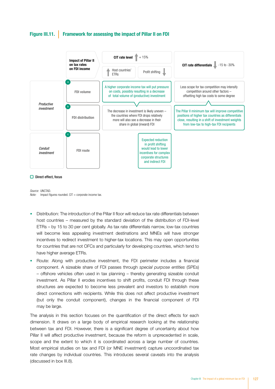#### Figure III.11. Framework for assessing the impact of Pillar II on FDI



#### $\Box$  Direct effect, focus

*Source:* UNCTAD. *Note:* Impact figures rounded. CIT = corporate income tax.

- Distribution: The introduction of the Pillar II floor will reduce tax rate differentials between host countries – measured by the standard deviation of the distribution of FDI-level ETRs – by 15 to 30 per cent globally. As tax rate differentials narrow, low-tax countries will become less appealing investment destinations and MNEs will have stronger incentives to redirect investment to higher-tax locations. This may open opportunities for countries that are not OFCs and particularly for developing countries, which tend to have higher average ETRs.
- Route: Along with productive investment, the FDI perimeter includes a financial component. A sizeable share of FDI passes through *special purpose entities* (SPEs) – offshore vehicles often used in tax planning – thereby generating sizeable conduit investment. As Pillar II erodes incentives to shift profits, conduit FDI through these structures are expected to become less prevalent and investors to establish more direct connections with recipients. While this does not affect productive investment (but only the conduit component), changes in the financial component of FDI may be large.

The analysis in this section focuses on the quantification of the direct effects for each dimension. It draws on a large body of empirical research looking at the relationship between tax and FDI. However, there is a significant degree of uncertainty about how Pillar II will affect productive investment, because the reform is unprecedented in scale, scope and the extent to which it is coordinated across a large number of countries. Most empirical studies on tax and FDI (or MNE investment) capture uncoordinated tax rate changes by individual countries. This introduces several caveats into the analysis (discussed in box III.8).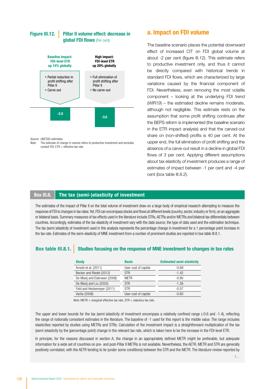#### Pillar II volume effect: decrease in global FDI flows (Per cent) Figure III.12.



*Source:* UNCTAD estimates.

*Note:* The estimate of change in volume refers to productive investment and excludes conduit FDI.  $ETR =$  effective tax rate.

#### a. Impact on FDI volume

The baseline scenario places the potential downward effect of increased CIT on FDI global volume at about -2 per cent (figure III.12). This estimate refers to productive investment only, and thus it cannot be directly compared with historical trends in standard FDI flows, which are characterized by large variations caused by the financial component of FDI. Nevertheless, even removing the most volatile component – looking at the underlying FDI trend (*WIR19*) – the estimated decline remains moderate, although not negligible. This estimate rests on the assumption that some profit shifting continues after the BEPS reform is implemented (the baseline scenario in the ETR impact analysis) and that the carved-out share on (non-shifted) profits is 40 per cent. At the upper end, the full elimination of profit shifting and the absence of a carve-out result in a decline in global FDI flows of 3 per cent. Applying different assumptions about tax elasticity of investment produces a range of estimates of impact between -1 per cent and -4 per cent (box table III.8.2).

#### Box III.8. The tax (semi-)elasticity of investment

The estimates of the impact of Pillar II on the total volume of investment draw on a large body of empirical research attempting to measure the response of FDI to changes in tax rates. Yet, FDI can encompass stocks and flows at different levels (country, sector, industry or firm), on an aggregate or bilateral basis. Summary measures of tax effects used in the literature include STRs, AETRs and/or METRs and bilateral tax differentials between countries. Accordingly, estimates of the tax elasticity of investment vary with the data source, the type of data used and the estimation technique. The tax (semi-)elasticity of investment used in this analysis represents the percentage change in investment for a 1 percentage point increase in the tax rate. Estimates of the semi-elasticity of MNE investment from a number of prominent studies are reported in box table III.8.1.

#### Box table III.8.1. Studies focusing on the response of MNE investment to changes in tax rates

| <b>Study</b>                 | <b>Basis</b>         | <b>Estimated semi-elasticity</b> |
|------------------------------|----------------------|----------------------------------|
| Arnold et al. (2011)         | User cost of capital | $-0.69$                          |
| Becker and Riedel (2012)     | <b>STR</b>           | $-1.42$                          |
| De Mooij and Ederveen (2008) | <b>METR</b>          | $-0.80$                          |
| De Mooij and Liu (2020)      | STR.                 | $-1.26$                          |
| Feld and Heckemeyer (2011)   | <b>STR</b>           | $-0.57$                          |
| Vartia (2008)                | User cost of capital | $-0.60$                          |

*Note:* METR = marginal effective tax rate, STR = statutory tax rate.

The upper and lower bounds for the tax (semi-)elasticity of investment encompass a relatively confined range (-0.6 and -1.4), reflecting the range of notionally consistent estimates in the literature. The baseline of -1 used for this report is the middle value. The range includes elasticities reported by studies using METRs and STRs. Calculation of the investment impact is a straightforward multiplication of the tax (semi-)elasticity by the (percentage point) change in the relevant tax rate, which is taken here to be the increase in the FDI-level ETR.

In principle, for the reasons discussed in section A, the change in an appropriately defined METR might be preferable, but adequate information for a wide set of countries on pre- and post-Pillar II METRs is not available. Nevertheless, the AETR, METR and STR are generally positively correlated, with the AETR tending to lie (under some conditions) between the STR and the METR. The literature review reported by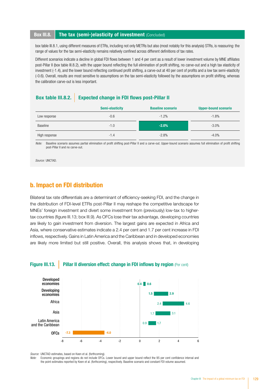#### **Box III.8.** The tax (semi-)elasticity of investment (Concluded)

box table III.8.1, using different measures of ETRs, including not only METRs but also (most notably for this analysis) STRs, is reassuring: the range of values for the tax semi-elasticity remains relatively confined across different definitions of tax rates.

Different scenarios indicate a decline in global FDI flows between 1 and 4 per cent as a result of lower investment volume by MNE affiliates post-Pillar II (box table III.8.2), with the upper bound reflecting the full elimination of profit shifting, no carve-out and a high tax elasticity of investment (-1.4), and the lower bound reflecting continued profit shifting, a carve-out at 40 per cent of profits and a low tax semi-elasticity (-0.6). Overall, results are most sensitive to assumptions on the tax semi-elasticity followed by the assumptions on profit shifting, whereas the calibration carve-out is less important.

#### Box table III.8.2. Expected change in FDI flows post-Pillar II

|               | Semi-elasticity | <b>Baseline scenario</b> | <b>Upper-bound scenario</b> |
|---------------|-----------------|--------------------------|-----------------------------|
| Low response  | $-0.6$          | $-1.2%$                  | $-1.8%$                     |
| Baseline      | $-1.0$          | $-2.0%$                  | $-3.0\%$                    |
| High response | $-1.4$          | $-2.8%$                  | $-4.0%$                     |

*Note:* Baseline scenario assumes partial elimination of profit shifting post-Pillar II and a carve-out. Upper-bound scenario assumes full elimination of profit shifting post-Pillar II and no carve-out.

*Source:* UNCTAD.

### b. Impact on FDI distribution

Bilateral tax rate differentials are a determinant of efficiency-seeking FDI, and the change in the distribution of FDI-level ETRs post-Pillar II may reshape the competitive landscape for MNEs' foreign investment and divert some investment from (previously) low-tax to highertax countries (figure III.13; box III.9). As OFCs lose their tax advantage, developing countries are likely to gain investment from diversion. The largest gains are expected in Africa and Asia, where conservative estimates indicate a 2.4 per cent and 1.7 per cent increase in FDI inflows, respectively. Gains in Latin America and the Caribbean and in developed economies are likely more limited but still positive. Overall, this analysis shows that, in developing

#### Figure III.13. Pillar II diversion effect: change in FDI inflows by region (Per cent)



*Source:* UNCTAD estimates, based on Keen et al. (forthcoming).

Economic groupings and regions do not include OFCs. Lower bound and upper bound reflect the 95 per cent confidence interval and the point estimates reported by Keen et al. (forthcoming), respectively. Baseline scenario and constant FDI volume assumed.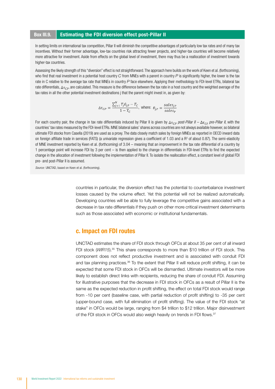#### Box III.9. **Estimating the FDI diversion effect post-Pillar II**

In setting limits on international tax competition. Pillar II will diminish the competitive advantages of particularly low tax rates and of many tax incentives. Without their former advantage, low-tax countries risk attracting fewer projects, and higher-tax countries will become relatively more attractive for investment. Aside from effects on the global level of investment, there may thus be a reallocation of investment towards higher-tax countries.

Assessing the likely strength of this "diversion" effect is not straightforward. The approach here builds on the work of Keen et al. (forthcoming), who find that real investment in a potential host country *C* from MNEs with a parent in country *P* is significantly higher, the lower is the tax rate in C relative to the average tax rate that MNEs in country *P* face elsewhere. Applying their methodology to FDI-level ETRs, bilateral tax rate differentials,  $\Delta \tau_{CP}$ , are calculated. This measure is the difference between the tax rate in a host country and the weighted average of the tax rates in all the other potential investment destinations j that the parent might invest in, as given by:

$$
\Delta \tau_{CP} = \frac{\sum_{j=1}^{N} T_j \theta_{jp} - T_C}{1 - T_C}, \text{ where: } \theta_{jp} = \frac{sales_{jp}}{sales_{p}}
$$

For each country pair, the change in tax rate differentials induced by Pillar II is given by  $\Delta\tau_{CP}$  post-Pillar II –  $\Delta\tau_{CP}$  pre-Pillar II, with the countries' tax rates measured by the FDI-level ETRs. MNE bilateral sales' shares across countries are not always available however, so bilateral ultimate FDI stocks from Casella (2019) are used as a proxy. The data closely match sales by foreign MNEs as reported in OECD inward data on foreign affiliate trade in services (FATS) (a univariate regression gives a coefficient of 1.03 and a  $R<sup>2</sup>$  of about 0.87). The semi-elasticity of MNE investment reported by Keen et al. (forthcoming) of 3.04 – meaning that an improvement in the tax rate differential of a country by 1 percentage point will increase FDI by 3 per cent – is then applied to the change in differentials in FDI-level ETRs to find the expected change in the allocation of investment following the implementation of Pillar II. To isolate the reallocation effect, a constant level of global FDI pre- and post-Pillar II is assumed.

*Source:* UNCTAD, based on Keen et al. (forthcoming).

countries in particular, the diversion effect has the potential to counterbalance investment losses caused by the volume effect. Yet this potential will not be realized automatically. Developing countries will be able to fully leverage the competitive gains associated with a decrease in tax rate differentials if they push on other more critical investment determinants such as those associated with economic or institutional fundamentals.

#### c. Impact on FDI routes

UNCTAD estimates the share of FDI stock through OFCs at about 35 per cent of all inward FDI stock (WIR15).<sup>35</sup> This share corresponds to more than \$10 trillion of FDI stock. This component does not reflect productive investment and is associated with conduit FDI and tax planning practices.<sup>36</sup> To the extent that Pillar II will reduce profit shifting, it can be expected that some FDI stock in OFCs will be dismantled. Ultimate investors will be more likely to establish direct links with recipients, reducing the share of conduit FDI. Assuming for illustrative purposes that the decrease in FDI stock in OFCs as a result of Pillar II is the same as the expected reduction in profit shifting, the effect on total FDI stock would range from -10 per cent (baseline case, with partial reduction of profit shifting) to -35 per cent (upper-bound case, with full elimination of profit shifting). The value of the FDI stock "at stake" in OFCs would be large, ranging from \$4 trillion to \$12 trillion. Major disinvestment of the FDI stock in OFCs would also weigh heavily on trends in FDI flows.<sup>37</sup>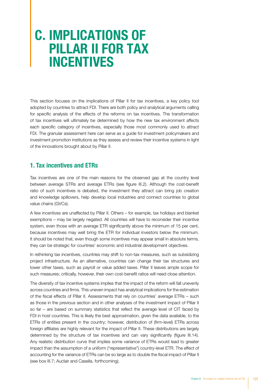# C. IMPLICATIONS OF PILLAR II FOR TAX INCENTIVES

This section focuses on the implications of Pillar II for tax incentives, a key policy tool adopted by countries to attract FDI. There are both policy and analytical arguments calling for specific analysis of the effects of the reforms on tax incentives. The transformation of tax incentives will ultimately be determined by how the new tax environment affects each specific category of incentives, especially those most commonly used to attract FDI. The granular assessment here can serve as a guide for investment policymakers and investment promotion institutions as they assess and review their incentive systems in light of the innovations brought about by Pillar II.

## 1. Tax incentives and ETRs

Tax incentives are one of the main reasons for the observed gap at the country level between average STRs and average ETRs (see figure III.2). Although the cost-benefit ratio of such incentives is debated, the investment they attract can bring job creation and knowledge spillovers, help develop local industries and connect countries to global value chains (GVCs).

A few incentives are unaffected by Pillar II. Others – for example, tax holidays and blanket exemptions – may be largely negated. All countries will have to reconsider their incentive system, even those with an average ETR significantly above the minimum of 15 per cent, because incentives may well bring the ETR for individual investors below the minimum. It should be noted that, even though some incentives may appear small in absolute terms, they can be strategic for countries' economic and industrial development objectives.

In rethinking tax incentives, countries may shift to non-tax measures, such as subsidizing project infrastructure. As an alternative, countries can change their tax structures and lower other taxes, such as payroll or value added taxes. Pillar II leaves ample scope for such measures; critically, however, their own cost-benefit ratios will need close attention.

The diversity of tax incentive systems implies that the impact of the reform will fall unevenly across countries and firms. This uneven impact has analytical implications for the estimation of the fiscal effects of Pillar II. Assessments that rely on countries' average ETRs – such as those in the previous section and in other analyses of the investment impact of Pillar II so far – are based on summary statistics that reflect the average level of CIT faced by FDI in host countries. This is likely the best approximation, given the data available, to the ETRs of entities present in the country; however, distribution of (firm-level) ETRs across foreign affiliates are highly relevant for the impact of Pillar II. These distributions are largely determined by the structure of tax incentives and can vary significantly (figure III.14). Any realistic distribution curve that implies some variance of ETRs would lead to greater impact than the assumption of a uniform ("representative") country-level ETR. The effect of accounting for the variance of ETRs can be so large as to double the fiscal impact of Pillar II (see box III.7; Auclair and Casella, forthcoming).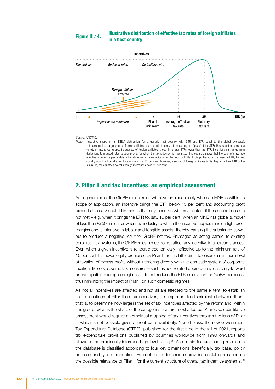#### Illustrative distribution of effective tax rates of foreign afliates Figure III.14. Figure III.14.



#### *Source:* UNCTAD.

*Notes:* Illustrative shape of an ETRs' distribution for a generic host country (with STR and ETR equal to the global averages). In this example, a large group of foreign affiliates pays the full statutory rate (resulting in a "peak" at the STR). Host countries provide a variety of incentives to specific subsets of foreign affiliates; these firms face FTRs lower than the STR. Incentives can range from deductions to reduced rates to exemptions, for which the tax reduction is maximized. The example shows that the country's average effective tax rate (19 per cent) is not a fully representative indicator for the impact of Pillar II. Simply based on the average ETR, the host country would not be affected by a minimum at 15 per cent; however, a subset of foreign afliates is. As they align their ETR to the minimum, the country's overall average increases above 19 per cent.

#### 2. Pillar II and tax incentives: an empirical assessment

As a general rule, the GloBE model rules will have an impact only when an MNE is within its scope of application, an incentive brings the ETR below 15 per cent and accounting profit exceeds the carve-out. This means that any incentive will remain intact if these conditions are not met – e.g. when it brings the ETR to, say, 16 per cent; when an MNE has global turnover of less than €750 million; or when the industry to which the incentive applies runs on tight profit margins and is intensive in labour and tangible assets, thereby causing the substance carveout to produce a negative result for GloBE net tax. Envisaged as acting parallel to existing corporate tax systems, the GloBE rules hence do not affect any incentive in all circumstances. Even when a given incentive is rendered economically ineffective up to the minimum rate of 15 per cent it is never legally prohibited by Pillar II, as the latter aims to ensure a minimum level of taxation of excess profits without interfering directly with the domestic system of corporate taxation. Moreover, some tax measures – such as accelerated depreciation, loss carry-forward or participation exemption regimes – do not reduce the ETR calculation for GloBE purposes, thus minimizing the impact of Pillar II on such domestic regimes.

As not all incentives are affected and not all are affected to the same extent, to establish the implications of Pillar II on tax incentives, it is important to discriminate between them: that is, to determine how large is the set of tax incentives affected by the reform and, within this group, what is the share of the categories that are most affected. A precise quantitative assessment would require an empirical mapping of tax incentives through the lens of Pillar II, which is not possible given current data availability. Nonetheless, the new Government Tax Expenditure Database (GTED), published for the first time in the fall of 2021, reports tax expenditure provisions published by countries worldwide from 1990 onwards and allows some empirically informed high-level sizing.38 As a main feature, each provision in the database is classified according to four key dimensions: beneficiary, tax base, policy purpose and type of reduction. Each of these dimensions provides useful information on the possible relevance of Pillar II for the current structure of overall tax incentive systems.<sup>39</sup>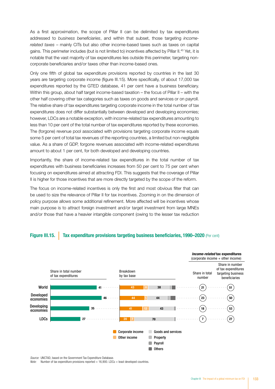As a first approximation, the scope of Pillar II can be delimited by tax expenditures addressed to *business beneficiaries*, and within that subset, those targeting *incomerelated taxes* – mainly CITs but also other income-based taxes such as taxes on capital gains. This perimeter includes (but is not limited to) incentives affected by Pillar II.<sup>40</sup> Yet, it is notable that the vast majority of tax expenditures lies outside this perimeter, targeting noncorporate beneficiaries and/or taxes other than income-based ones.

Only one fifth of global tax expenditure provisions reported by countries in the last 30 years are targeting corporate income (figure III.15). More specifically, of about 17,000 tax expenditures reported by the GTED database, 41 per cent have a business beneficiary. Within this group, about half target income-based taxation – the focus of Pillar II – with the other half covering other tax categories such as taxes on goods and services or on payroll. The relative share of tax expenditures targeting corporate income in the total number of tax expenditures does not differ substantially between developed and developing economies; however, LDCs are a notable exception, with income-related tax expenditures amounting to less than 10 per cent of the total number of tax expenditures reported by these economies. The (forgone) revenue pool associated with provisions targeting corporate income equals some 5 per cent of total tax revenues of the reporting countries, a limited but non-negligible value. As a share of GDP, forgone revenues associated with income-related expenditures amount to about 1 per cent, for both developed and developing countries.

Importantly, the share of income-related tax expenditures in the total number of tax expenditures with business beneficiaries increases from 50 per cent to 75 per cent when focusing on expenditures aimed at attracting FDI. This suggests that the coverage of Pillar II is higher for those incentives that are more directly targeted by the scope of the reform.

The focus on income-related incentives is only the first and most obvious filter that can be used to size the relevance of Pillar II for tax incentives. Zooming in on the dimension of policy purpose allows some additional refinement. More affected will be incentives whose main purpose is to attract foreign investment and/or target investment from large MNEs and/or those that have a heavier intangible component (owing to the lesser tax reduction

#### Figure III.15. Tax expenditure provisions targeting business beneficiaries, 1990–2020 (Per cent)



*Source:* UNCTAD, based on the Government Tax Expenditure Database.

*Note:* Number of tax expenditure provisions reported = 16,900. LDCs = least developed countries.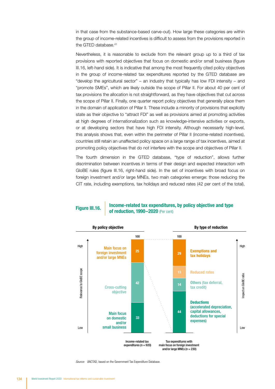in that case from the substance-based carve-out). How large these categories are within the group of income-related incentives is difficult to assess from the provisions reported in the GTED database.<sup>41</sup>

Nevertheless, it is reasonable to exclude from the relevant group up to a third of tax provisions with reported objectives that focus on domestic and/or small business (figure III.16, left-hand side). It is indicative that among the most frequently cited policy objectives in the group of income-related tax expenditures reported by the GTED database are "develop the agricultural sector" – an industry that typically has low FDI intensity – and "promote SMEs", which are likely outside the scope of Pillar II. For about 40 per cent of tax provisions the allocation is not straightforward, as they have objectives that cut across the scope of Pillar II. Finally, one quarter report policy objectives that generally place them in the domain of application of Pillar II. These include a minority of provisions that explicitly state as their objective to "attract FDI" as well as provisions aimed at promoting activities at high degrees of internationalization such as knowledge-intensive activities or exports, or at developing sectors that have high FDI intensity. Although necessarily high-level, this analysis shows that, even within the perimeter of Pillar II (income-related incentives), countries still retain an unaffected policy space on a large range of tax incentives, aimed at promoting policy objectives that do not interfere with the scope and objectives of Pillar II.

The fourth dimension in the GTED database, "type of reduction", allows further discrimination between incentives in terms of their design and expected interaction with GloBE rules (figure III.16, right-hand side). In the set of incentives with broad focus on foreign investment and/or large MNEs, two main categories emerge: those reducing the CIT rate, including exemptions, tax holidays and reduced rates (42 per cent of the total),

Income-related tax expenditures, by policy objective and type **Figure III.16. III. Income-Telated tax experimitures** 



*Source:* UNCTAD, based on the Government Tax Expenditure Database.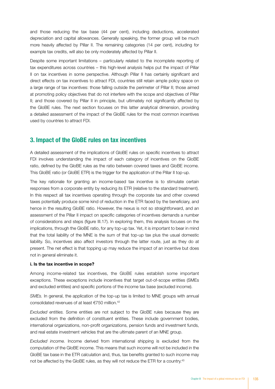and those reducing the tax base (44 per cent), including deductions, accelerated depreciation and capital allowances. Generally speaking, the former group will be much more heavily affected by Pillar II. The remaining categories (14 per cent), including for example tax credits, will also be only moderately affected by Pillar II.

Despite some important limitations – particularly related to the incomplete reporting of tax expenditures across countries – this high-level analysis helps put the impact of Pillar II on tax incentives in some perspective. Although Pillar II has certainly significant and direct effects on tax incentives to attract FDI, countries still retain ample policy space on a large range of tax incentives: those falling outside the perimeter of Pillar II; those aimed at promoting policy objectives that do not interfere with the scope and objectives of Pillar II; and those covered by Pillar II in principle, but ultimately not significantly affected by the GloBE rules. The next section focuses on this latter analytical dimension, providing a detailed assessment of the impact of the GloBE rules for the most common incentives used by countries to attract FDI.

#### 3. Impact of the GloBE rules on tax incentives

A detailed assessment of the implications of GloBE rules on specific incentives to attract FDI involves understanding the impact of each category of incentives on the GloBE ratio, defined by the GloBE rules as the ratio between covered taxes and GloBE income. This GloBE ratio (or GloBE ETR) is the trigger for the application of the Pillar II top-up.

The key rationale for granting an income-based tax incentive is to stimulate certain responses from a corporate entity by reducing its ETR (relative to the standard treatment). In this respect all tax incentives operating through the corporate tax and other covered taxes potentially produce some kind of reduction in the ETR faced by the beneficiary, and hence in the resulting GloBE ratio. However, the nexus is not so straightforward, and an assessment of the Pillar II impact on specific categories of incentives demands a number of considerations and steps (figure III.17). In exploring them, this analysis focuses on the implications, through the GloBE ratio, for any top-up tax. Yet, it is important to bear in mind that the total liability of the MNE is the sum of that top-up tax plus the usual domestic liability. So, incentives also affect investors through the latter route, just as they do at present. The net effect is that topping up may reduce the impact of an incentive but does not in general eliminate it.

#### i. Is the tax incentive in scope?

Among income-related tax incentives, the GloBE rules establish some important exceptions. These exceptions include incentives that target out-of-scope entities (SMEs and excluded entities) and specific portions of the income tax base (excluded income).

*SMEs.* In general, the application of the top-up tax is limited to MNE groups with annual consolidated revenues of at least €750 million.42

*Excluded entities.* Some entities are not subject to the GloBE rules because they are excluded from the definition of constituent entities. These include government bodies, international organizations, non-profit organizations, pension funds and investment funds, and real estate investment vehicles that are the ultimate parent of an MNE group.

*Excluded income.* Income derived from international shipping is excluded from the computation of the GloBE income. This means that such income will not be included in the GloBE tax base in the ETR calculation and, thus, tax benefits granted to such income may not be affected by the GloBE rules, as they will not reduce the ETR for a country.<sup>43</sup>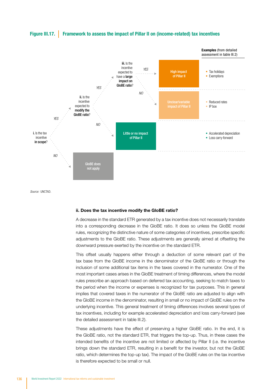

#### Figure III.17. Framework to assess the impact of Pillar II on (income-related) tax incentives

ii. Does the tax incentive modify the GloBE ratio?

A decrease in the standard ETR generated by a tax incentive does not necessarily translate into a corresponding decrease in the GloBE ratio. It does so unless the GloBE model rules, recognizing the distinctive nature of some categories of incentives, prescribe specific adjustments to the GloBE ratio. These adjustments are generally aimed at offsetting the downward pressure exerted by the incentive on the standard ETR.

This offset usually happens either through a deduction of some relevant part of the tax base from the GloBE income in the denominator of the GloBE ratio or through the inclusion of some additional tax items in the taxes covered in the numerator. One of the most important cases arises in the GloBE treatment of timing differences, where the model rules prescribe an approach based on deferred tax accounting, seeking to match taxes to the period when the income or expenses is recognized for tax purposes. This in general implies that covered taxes in the numerator of the GloBE ratio are adjusted to align with the GloBE income in the denominator, resulting in small or no impact of GloBE rules on the underlying incentive. This general treatment of timing differences involves several types of tax incentives, including for example accelerated depreciation and loss carry-forward (see the detailed assessment in table III.2).

These adjustments have the effect of preserving a higher GloBE ratio. In the end, it is the GloBE ratio, not the standard ETR, that triggers the top-up. Thus, in these cases the intended benefits of the incentive are not limited or affected by Pillar II (i.e. the incentive brings down the standard ETR, resulting in a benefit for the investor, but not the GloBE ratio, which determines the top-up tax). The impact of the GloBE rules on the tax incentive is therefore expected to be small or null.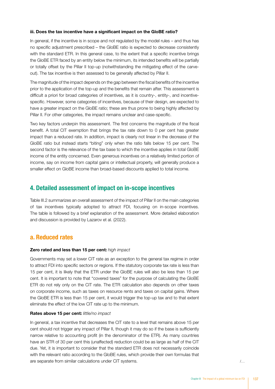#### iii. Does the tax incentive have a significant impact on the GloBE ratio?

In general, if the incentive is in scope and not regulated by the model rules – and thus has no specific adjustment prescribed – the GloBE ratio is expected to decrease consistently with the standard ETR. In this general case, to the extent that a specific incentive brings the GloBE ETR faced by an entity below the minimum, its intended benefits will be partially or totally offset by the Pillar II top-up (notwithstanding the mitigating effect of the carveout). The tax incentive is then assessed to be generally affected by Pillar II.

The magnitude of the impact depends on the gap between the fiscal benefits of the incentive prior to the application of the top-up and the benefits that remain after. This assessment is difficult a priori for broad categories of incentives, as it is country-, entity-, and incentivespecific. However, some categories of incentives, because of their design, are expected to have a greater impact on the GloBE ratio; these are thus prone to being highly affected by Pillar II. For other categories, the impact remains unclear and case-specific.

Two key factors underpin this assessment. The first concerns the magnitude of the fiscal benefit. A total CIT exemption that brings the tax rate down to 0 per cent has greater impact than a reduced rate. In addition, impact is clearly not linear in the decrease of the GloBE ratio but instead starts "biting" only when the ratio falls below 15 per cent. The second factor is the relevance of the tax base to which the incentive applies in total GloBE income of the entity concerned. Even generous incentives on a relatively limited portion of income, say on income from capital gains or intellectual property, will generally produce a smaller effect on GloBE income than broad-based discounts applied to total income.

#### 4. Detailed assessment of impact on in-scope incentives

Table III.2 summarizes an overall assessment of the impact of Pillar II on the main categories of tax incentives typically adopted to attract FDI, focusing on in-scope incentives. The table is followed by a brief explanation of the assessment. More detailed elaboration and discussion is provided by Lazarov et al. (2022).

#### a. Reduced rates

#### Zero rated and less than 15 per cent: *high impact*

Governments may set a lower CIT rate as an exception to the general tax regime in order to attract FDI into specific sectors or regions. If the statutory corporate tax rate is less than 15 per cent, it is likely that the ETR under the GloBE rules will also be less than 15 per cent. It is important to note that "covered taxes" for the purpose of calculating the GloBE ETR do not rely only on the CIT rate. The ETR calculation also depends on other taxes on corporate income, such as taxes on resource rents and taxes on capital gains. Where the GloBE ETR is less than 15 per cent, it would trigger the top-up tax and to that extent eliminate the effect of the low CIT rate up to the minimum.

#### Rates above 15 per cent: *little/no impact*

In general, a tax incentive that decreases the CIT rate to a level that remains above 15 per cent should not trigger any impact of Pillar II, though it may do so if the base is sufficiently narrow relative to accounting profit (in the denominator of the ETR). As many countries have an STR of 30 per cent this (unaffected) reduction could be as large as half of the CIT due. Yet, it is important to consider that the standard ETR does not necessarily coincide with the relevant ratio according to the GloBE rules, which provide their own formulas that are separate from similar calculations under CIT systems. /…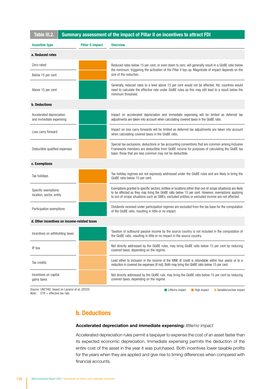| Table III.2.<br>Summary assessment of the impact of Pillar II on incentives to attract FDI |                         |                                                                                                                                                                                                                                                                                                                      |                   |  |
|--------------------------------------------------------------------------------------------|-------------------------|----------------------------------------------------------------------------------------------------------------------------------------------------------------------------------------------------------------------------------------------------------------------------------------------------------------------|-------------------|--|
| Incentive type                                                                             | <b>Pillar II impact</b> | <b>Overview</b>                                                                                                                                                                                                                                                                                                      |                   |  |
| a. Reduced rates                                                                           |                         |                                                                                                                                                                                                                                                                                                                      |                   |  |
| Zero-rated<br>Below 15 per cent                                                            |                         | Reduced rates below 15 per cent, or even down to zero, will generally result in a GloBE ratio below<br>the minimum, triggering the activation of the Pillar II top-up. Magnitude of impact depends on the<br>size of the reduction.                                                                                  |                   |  |
|                                                                                            |                         |                                                                                                                                                                                                                                                                                                                      | Above 15 per cent |  |
| <b>b.</b> Deductions                                                                       |                         |                                                                                                                                                                                                                                                                                                                      |                   |  |
| Accelerated depreciation<br>and immediate expensing                                        |                         | Impact on accelerated depreciation and immediate expensing will be limited as deferred tax<br>adjustments are taken into account when calculating covered taxes in the GloBE ratio.                                                                                                                                  |                   |  |
| Loss carry-forward                                                                         |                         | Impact on loss carry-forwards will be limited as deferred tax adjustments are taken into account<br>when calculating covered taxes in the GloBE ratio.                                                                                                                                                               |                   |  |
| Deductible qualified expenses                                                              |                         | Special tax exclusions, deductions or tax accounting conventions that are common among Inclusive<br>Framework members are deductible from GloBE income for purposes of calculating the GloBE tax<br>base; those that are less common may not be deductible.                                                          |                   |  |
| c. Exemptions                                                                              |                         |                                                                                                                                                                                                                                                                                                                      |                   |  |
| Tax holidays                                                                               |                         | Tax holiday regimes are not expressly addressed under the GloBE rules and are likely to bring the<br>GloBE ratio below 15 per cent.                                                                                                                                                                                  |                   |  |
| Specific exemptions:<br>location, sector, entity                                           |                         | Exemptions granted to specific sectors, entities or locations (other than out-of-scope situations) are likely<br>to be affected as they may bring the GloBE ratio below 15 per cent. However, exemptions applying<br>to out-of-scope situations such as SMEs, excluded entities or excluded income are not affected. |                   |  |
| Participation exemptions                                                                   |                         | Dividends received under participation regimes are excluded from the tax base for the computation<br>of the GloBE ratio, resulting in little or no impact.                                                                                                                                                           |                   |  |
| d. Other incentives on income-related taxes                                                |                         |                                                                                                                                                                                                                                                                                                                      |                   |  |
| Incentives on withholding taxes                                                            |                         | Taxation of outbound passive income by the source country is not included in the computation of<br>the GloBE ratio, resulting in little or no impact in the source country.                                                                                                                                          |                   |  |
| IP box                                                                                     |                         | Not directly addressed by the GloBE rules, may bring GloBE ratio below 15 per cent by reducing<br>covered taxes, depending on the regime.                                                                                                                                                                            |                   |  |
| Tax credits                                                                                |                         | Lead either to inclusion in the income of the MNE (if credit is refundable within four years) or to a<br>reduction in covered tax expenses (if not). Both may bring the GloBE ratio below 15 per cent.                                                                                                               |                   |  |
| Incentives on capital<br>gains taxes                                                       |                         | Not directly addressed by the GloBE rule, may bring the GloBE ratio below 15 per cent by reducing<br>covered taxes, depending on the regime.                                                                                                                                                                         |                   |  |

*Source:* UNCTAD, based on Lazarov et al. (2022).

*Note:* ETR = effective tax rate.

■ Little/no impact ■ High impact ■ Variable/unclear impact

## b. Deductions

#### Accelerated depreciation and immediate expensing: *little/no impact*

Accelerated depreciation rules permit a taxpayer to expense the cost of an asset faster than its expected economic depreciation. Immediate expensing permits the deduction of the entire cost of the asset in the year it was purchased. Both incentives lower taxable profits for the years when they are applied and give rise to timing differences when compared with financial accounts.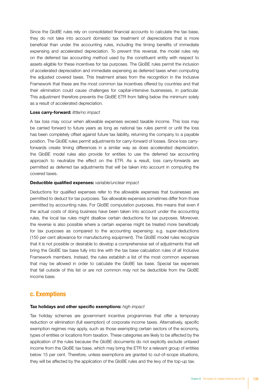Since the GloBE rules rely on consolidated financial accounts to calculate the tax base, they do not take into account domestic tax treatment of depreciations that is more beneficial than under the accounting rules, including the timing benefits of immediate expensing and accelerated depreciation. To prevent this reversal, the model rules rely on the deferred tax accounting method used by the constituent entity with respect to assets eligible for these incentives for tax purposes. The GloBE rules permit the inclusion of accelerated depreciation and immediate expensing as deferred taxes when computing the adjusted covered taxes. This treatment arises from the recognition in the Inclusive Framework that these are the most common tax incentives offered by countries and that their elimination could cause challenges for capital-intensive businesses, in particular. This adjustment therefore prevents the GloBE ETR from falling below the minimum solely as a result of accelerated depreciation.

#### Loss carry-forward: *little/no impact*

A tax loss may occur when allowable expenses exceed taxable income. This loss may be carried forward to future years as long as national tax rules permit or until the loss has been completely offset against future tax liability, returning the company to a payable position. The GloBE rules permit adjustments for carry-forward of losses. Since loss carryforwards create timing differences in a similar way as does accelerated depreciation, the GloBE model rules also provide for entities to use the deferred tax accounting approach to neutralize the effect on the ETR. As a result, loss carry-forwards are permitted as deferred tax adjustments that will be taken into account in computing the covered taxes.

#### Deductible qualified expenses: *variable/unclear impact*

Deductions for qualified expenses refer to the allowable expenses that businesses are permitted to deduct for tax purposes. Tax-allowable expenses sometimes differ from those permitted by accounting rules. For GloBE computation purposes, this means that even if the actual costs of doing business have been taken into account under the accounting rules, the local tax rules might disallow certain deductions for tax purposes. Moreover, the reverse is also possible where a certain expense might be treated more beneficially for tax purposes as compared to the accounting expensing: e.g. super-deductions (150 per cent allowance for manufacturing equipment). The GloBE model rules recognize that it is not possible or desirable to develop a comprehensive set of adjustments that will bring the GloBE tax base fully into line with the tax base calculation rules of all Inclusive Framework members. Instead, the rules establish a list of the most common expenses that may be allowed in order to calculate the GloBE tax base. Special tax expenses that fall outside of this list or are not common may not be deductible from the GloBE income base.

#### c. Exemptions

#### Tax holidays and other specific exemptions: *high impact*

Tax holiday schemes are government incentive programmes that offer a temporary reduction or elimination (full exemption) of corporate income taxes. Alternatively, specific exemption regimes may apply, such as those exempting certain sectors of the economy, types of entities or locations from taxation. These categories are likely to be affected by the application of the rules because the GloBE documents do not explicitly exclude untaxed income from the GloBE tax base, which may bring the ETR for a relevant group of entities below 15 per cent. Therefore, unless exemptions are granted to out-of-scope situations, they will be affected by the application of the GloBE rules and the levy of the top-up tax.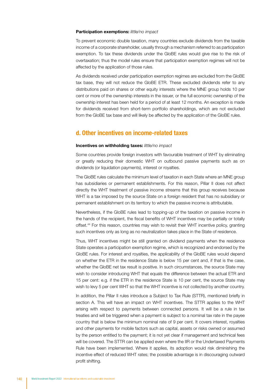#### Participation exemptions: *little/no impact*

To prevent economic double taxation, many countries exclude dividends from the taxable income of a corporate shareholder, usually through a mechanism referred to as participation exemption. To tax these dividends under the GloBE rules would give rise to the risk of overtaxation; thus the model rules ensure that participation exemption regimes will not be affected by the application of those rules.

As dividends received under participation exemption regimes are excluded from the GloBE tax base, they will not reduce the GloBE ETR. These excluded dividends refer to any distributions paid on shares or other equity interests where the MNE group holds 10 per cent or more of the ownership interests in the issuer, or the full economic ownership of the ownership interest has been held for a period of at least 12 months. An exception is made for dividends received from short-term portfolio shareholdings, which are not excluded from the GloBE tax base and will likely be affected by the application of the GloBE rules.

#### d. Other incentives on income-related taxes

#### Incentives on withholding taxes: *little/no impact*

Some countries provide foreign investors with favourable treatment of WHT by eliminating or greatly reducing their domestic WHT on outbound passive payments such as on dividends (or liquidation payments), interest or royalties.

The GloBE rules calculate the minimum level of taxation in each State where an MNE group has subsidiaries or permanent establishments. For this reason, Pillar II does not affect directly the WHT treatment of passive income streams that this group receives because WHT is a tax imposed by the source State on a foreign resident that has no subsidiary or permanent establishment on its territory to which the passive income is attributable.

Nevertheless, if the GloBE rules lead to topping-up of the taxation on passive income in the hands of the recipient, the fiscal benefits of WHT incentives may be partially or totally offset.44 For this reason, countries may wish to revisit their WHT incentive policy, granting such incentives only as long as no neutralization takes place in the State of residence.

Thus, WHT incentives might be still granted on dividend payments when the residence State operates a participation exemption regime, which is recognized and endorsed by the GloBE rules. For interest and royalties, the applicability of the GloBE rules would depend on whether the ETR in the residence State is below 15 per cent and, if that is the case, whether the GloBE net tax result is positive. In such circumstances, the source State may wish to consider introducing WHT that equals the difference between the actual ETR and 15 per cent: e.g. if the ETR in the residence State is 10 per cent, the source State may wish to levy 5 per cent WHT so that the WHT incentive is not collected by another country.

In addition, the Pillar II rules introduce a Subject to Tax Rule (STTR), mentioned briefly in section A. This will have an impact on WHT incentives. The STTR applies to the WHT arising with respect to payments between connected persons. It will be a rule in tax treaties and will be triggered when a payment is subject to a nominal tax rate in the payee country that is below the minimum nominal rate of 9 per cent. It covers interest, royalties and other payments for mobile factors such as capital, assets or risks owned or assumed by the person entitled to the payment; it is not yet clear if management and technical fees will be covered. The STTR can be applied even where the IIR or the Undertaxed Payments Rule have been implemented. Where it applies, its adoption would risk diminishing the incentive effect of reduced WHT rates; the possible advantage is in discouraging outward profit shifting.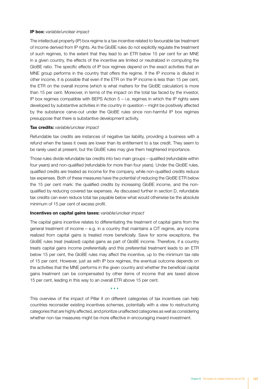#### IP box: *variable/unclear impact*

The intellectual property (IP) box regime is a tax incentive related to favourable tax treatment of income derived from IP rights. As the GloBE rules do not explicitly regulate the treatment of such regimes, to the extent that they lead to an ETR below 15 per cent for an MNE in a given country, the effects of the incentive are limited or neutralized in computing the GloBE ratio. The specific effects of IP box regimes depend on the exact activities that an MNE group performs in the country that offers the regime. If the IP income is diluted in other income, it is possible that even if the ETR on the IP income is less than 15 per cent, the ETR on the overall income (which is what matters for the GloBE calculation) is more than 15 per cent. Moreover, in terms of the impact on the total tax faced by the investor, IP box regimes compatible with BEPS Action  $5 - i.e.$  regimes in which the IP rights were developed by substantive activities in the country in question – might be positively affected by the substance carve-out under the GloBE rules since non-harmful IP box regimes presuppose that there is substantive development activity.

#### Tax credits: *variable/unclear impact*

Refundable tax credits are instances of negative tax liability, providing a business with a refund when the taxes it owes are lower than its entitlement to a tax credit. They seem to be rarely used at present, but the GloBE rules may give them heightened importance.

Those rules divide refundable tax credits into two main groups – qualified (refundable within four years) and non-qualified (refundable for more than four years). Under the GloBE rules, qualified credits are treated as income for the company, while non-qualified credits reduce tax expenses. Both of these measures have the potential of reducing the GloBE ETR below the 15 per cent mark: the qualified credits by increasing GloBE income, and the nonqualified by reducing covered tax expenses. As discussed further in section D, refundable tax credits can even reduce total tax payable below what would otherwise be the absolute minimum of 15 per cent of excess profit.

#### Incentives on capital gains taxes: *variable/unclear impact*

The capital gains incentive relates to differentiating the treatment of capital gains from the general treatment of income – e.g. in a country that maintains a CIT regime, any income realized from capital gains is treated more beneficially. Save for some exceptions, the GloBE rules treat (realized) capital gains as part of GloBE income. Therefore, if a country treats capital gains income preferentially and this preferential treatment leads to an ETR below 15 per cent, the GloBE rules may affect the incentive, up to the minimum tax rate of 15 per cent. However, just as with IP box regimes, the eventual outcome depends on the activities that the MNE performs in the given country and whether the beneficial capital gains treatment can be compensated by other items of income that are taxed above 15 per cent, leading in this way to an overall ETR above 15 per cent.

This overview of the impact of Pillar II on different categories of tax incentives can help countries reconsider existing incentives schemes, potentially with a view to restructuring categories that are highly affected, and prioritize unaffected categories as well as considering whether non-tax measures might be more effective in encouraging inward investment.

\* \* \*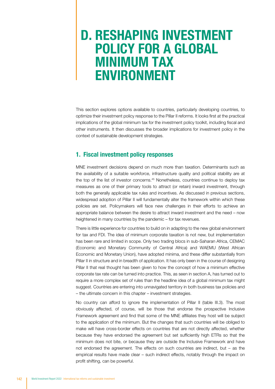# D. RESHAPING INVESTMENT POLICY FOR A GLOBAL MINIMUM TAX ENVIRONMENT

This section explores options available to countries, particularly developing countries, to optimize their investment policy response to the Pillar II reforms. It looks first at the practical implications of the global minimum tax for the investment policy toolkit, including fiscal and other instruments. It then discusses the broader implications for investment policy in the context of sustainable development strategies.

### 1. Fiscal investment policy responses

MNE investment decisions depend on much more than taxation. Determinants such as the availability of a suitable workforce, infrastructure quality and political stability are at the top of the list of investor concerns.45 Nonetheless, countries continue to deploy tax measures as one of their primary tools to attract (or retain) inward investment, through both the generally applicable tax rules and incentives. As discussed in previous sections, widespread adoption of Pillar II will fundamentally alter the framework within which these policies are set. Policymakers will face new challenges in their efforts to achieve an appropriate balance between the desire to attract inward investment and the need – now heightened in many countries by the pandemic – for tax revenues.

There is little experience for countries to build on in adapting to the new global environment for tax and FDI. The idea of minimum corporate taxation is not new, but implementation has been rare and limited in scope. Only two trading blocs in sub-Saharan Africa, CEMAC (Economic and Monetary Community of Central Africa) and WAEMU (West African Economic and Monetary Union), have adopted minima, and these differ substantially from Pillar II in structure and in breadth of application. It has only been in the course of designing Pillar II that real thought has been given to how the concept of how a minimum effective corporate tax rate can be turned into practice. This, as seen in section A, has turned out to require a more complex set of rules than the headline idea of a global minimum tax might suggest. Countries are entering into unnavigated territory in both business tax policies and – the ultimate concern in this chapter – investment strategies.

No country can afford to ignore the implementation of Pillar II (table III.3). The most obviously affected, of course, will be those that endorse the prospective Inclusive Framework agreement and find that some of the MNE affiliates they host will be subject to the application of the minimum. But the changes that such countries will be obliged to make will have cross-border effects on countries that are not directly affected, whether because they have endorsed the agreement but set sufficiently high ETRs so that the minimum does not bite, or because they are outside the Inclusive Framework and have not endorsed the agreement. The effects on such countries are indirect, but – as the empirical results have made clear – such indirect effects, notably through the impact on profit shifting, can be powerful.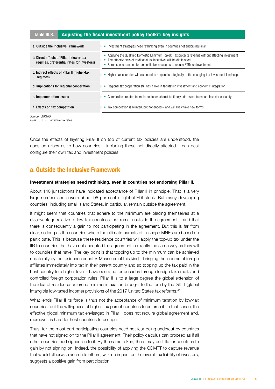## Table III.3.  $\parallel$  Adjusting the fiscal investment policy toolkit: key insights

| a. Outside the Inclusive Framework                                                      | Investment strategies need rethinking even in countries not endorsing Pillar II<br>٠                                                                                                                                                                          |
|-----------------------------------------------------------------------------------------|---------------------------------------------------------------------------------------------------------------------------------------------------------------------------------------------------------------------------------------------------------------|
| b. Direct effects of Pillar II (lower-tax<br>regimes, preferential rates for investors) | Applying the Qualified Domestic Minimum Top-Up Tax protects revenue without affecting investment<br>۰<br>The effectiveness of traditional tax incentives will be diminished<br>Some scope remains for domestic tax measures to reduce ETRs on investment<br>٠ |
| c. Indirect effects of Pillar II (higher-tax<br>regimes)                                | Higher-tax countries will also need to respond strategically to the changing tax-investment landscape<br>۰                                                                                                                                                    |
| d. Implications for regional cooperation                                                | Regional tax cooperation still has a role in facilitating investment and economic integration<br>۰                                                                                                                                                            |
| e. Implementation issues                                                                | Complexities related to implementation should be timely addressed to ensure investor certainty                                                                                                                                                                |
| f. Effects on tax competition                                                           | Tax competition is blunted, but not ended – and will likely take new forms<br>۰                                                                                                                                                                               |
|                                                                                         |                                                                                                                                                                                                                                                               |

*Source:* UNCTAD. *Note:* ETRs = effective tax rates.

Once the effects of layering Pillar II on top of current tax policies are understood, the question arises as to how countries – including those not directly affected – can best configure their own tax and investment policies.

## a. Outside the Inclusive Framework

#### Investment strategies need rethinking, even in countries not endorsing Pillar II.

About 140 jurisdictions have indicated acceptance of Pillar II in principle. That is a very large number and covers about 95 per cent of global FDI stock. But many developing countries, including small island States, in particular, remain outside the agreement.

It might seem that countries that adhere to the minimum are placing themselves at a disadvantage relative to low-tax countries that remain outside the agreement – and that there is consequently a gain to not participating in the agreement. But this is far from clear, so long as the countries where the ultimate parents of in-scope MNEs are based do participate. This is because these residence countries will apply the top-up tax under the IIR to countries that have not accepted the agreement in exactly the same way as they will to countries that have. The key point is that topping up to the minimum can be achieved unilaterally by the residence country. Measures of this kind – bringing the income of foreign affiliates immediately into tax in their parent country and so topping up the tax paid in the host country to a higher level – have operated for decades through foreign tax credits and controlled foreign corporation rules. Pillar II is to a large degree the global extension of the idea of residence-enforced minimum taxation brought to the fore by the GILTI (global intangible low-taxed income) provisions of the 2017 United States tax reforms.<sup>46</sup>

What lends Pillar II its force is thus not the acceptance of minimum taxation by low-tax countries, but the willingness of higher-tax parent countries to enforce it. In that sense, the effective global minimum tax envisaged in Pillar II does not require global agreement and, moreover, is hard for host countries to escape.

Thus, for the most part participating countries need not fear being undercut by countries that have not signed on to the Pillar II agreement. Their policy calculus can proceed as if all other countries had signed on to it. By the same token, there may be little for countries to gain by not signing on. Indeed, the possibility of applying the QDMTT to capture revenue that would otherwise accrue to others, with no impact on the overall tax liability of investors, suggests a positive gain from participation.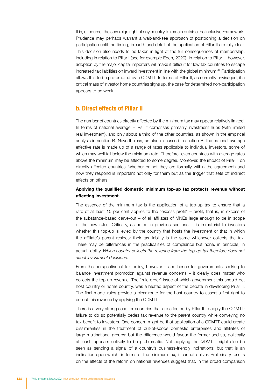It is, of course, the sovereign right of any country to remain outside the Inclusive Framework. Prudence may perhaps warrant a wait-and-see approach of postponing a decision on participation until the timing, breadth and detail of the application of Pillar II are fully clear. This decision also needs to be taken in light of the full consequences of membership, including in relation to Pillar I (see for example Eden, 2020). In relation to Pillar II, however, adoption by the major capital importers will make it difficult for low tax countries to escape increased tax liabilities on inward investment in line with the global minimum.47 Participation allows this to be pre-empted by a QDMTT. In terms of Pillar II, as currently envisaged, if a critical mass of investor home countries signs up, the case for determined non-participation appears to be weak.

#### b. Direct effects of Pillar II

The number of countries directly affected by the minimum tax may appear relatively limited. In terms of national average ETRs, it comprises primarily investment hubs (with limited real investment), and only about a third of the other countries, as shown in the empirical analysis in section B. Nevertheless, as also discussed in section B, the national average effective rate is made up of a range of rates applicable to individual investors, some of which may well fall below the minimum rate. Therefore, even countries with average rates above the minimum may be affected to some degree. Moreover, the impact of Pillar II on directly affected countries (whether or not they are formally within the agreement) and how they respond is important not only for them but as the trigger that sets off indirect effects on others.

#### Applying the qualified domestic minimum top-up tax protects revenue without affecting investment.

The essence of the minimum tax is the application of a top-up tax to ensure that a rate of at least 15 per cent applies to the "excess profit" – profit, that is, in excess of the substance-based carve-out – of all affiliates of MNEs large enough to be in scope of the new rules. Critically, as noted in previous sections, it is immaterial to investors whether this top-up is levied by the country that hosts the investment or that in which the affiliate's parent resides: their tax liability is the same whichever collects the tax. There may be differences in the practicalities of compliance but none, in principle, in actual liability. *Which country collects the revenue from the top-up tax therefore does not affect investment decisions.*

From the perspective of tax policy, however – and hence for governments seeking to balance investment promotion against revenue concerns – it clearly does matter who collects the top-up revenue. The "rule order" issue of which government this should be, host country or home country, was a heated aspect of the debate in developing Pillar II. The final model rules provide a clear route for the host country to assert a first right to collect this revenue by applying the QDMTT.

There is a very strong case for countries that are affected by Pillar II to apply the QDMTT: failure to do so potentially cedes tax revenue to the parent country while conveying no tax benefit to investors. One concern might be that application of a QDMTT could create dissimilarities in the treatment of out-of-scope domestic enterprises and affiliates of large multinational groups; but the difference would favour the former and so, politically at least, appears unlikely to be problematic. Not applying the QDMTT might also be seen as sending a signal of a country's business-friendly inclinations: but that is an inclination upon which, in terms of the minimum tax, it cannot deliver. Preliminary results on the effects of the reform on national revenues suggest that, in the broad comparison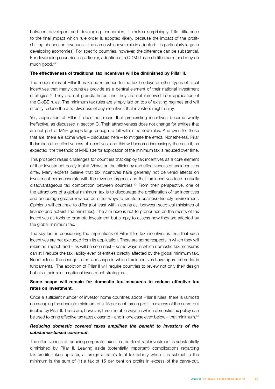between developed and developing economies, it makes surprisingly little difference to the final impact which rule order is adopted (likely, because the impact of the profitshifting channel on revenues – the same whichever rule is adopted – is particularly large in developing economies). For specific countries, however, the difference can be substantial. For developing countries in particular, adoption of a QDMTT can do little harm and may do much good.48

#### The effectiveness of traditional tax incentives will be diminished by Pillar II.

The model rules of Pillar II make no reference to the tax holidays or other types of fiscal incentives that many countries provide as a central element of their national investment strategies.<sup>49</sup> They are not grandfathered and they are not removed from application of the GloBE rules. The minimum tax rules are simply laid on top of existing regimes and will directly reduce the attractiveness of any incentives that investors might enjoy.

Yet, application of Pillar II does not mean that pre-existing incentives become wholly ineffective, as discussed in section C. Their attractiveness does not change for entities that are not part of MNE groups large enough to fall within the new rules. And even for those that are, there are some ways – discussed here – to mitigate the effect. Nonetheless, Pillar II dampens the effectiveness of incentives, and this will become increasingly the case if, as expected, the threshold of MNE size for application of the minimum tax is reduced over time.

This prospect raises challenges for countries that deploy tax incentives as a core element of their investment policy toolkit. Views on the efficiency and effectiveness of tax incentives differ. Many experts believe that tax incentives have generally not delivered effects on investment commensurate with the revenue forgone, and that tax incentives feed mutually disadvantageous tax competition between countries.50 From their perspective, one of the attractions of a global minimum tax is to discourage the proliferation of tax incentives and encourage greater reliance on other ways to create a business-friendly environment. Opinions will continue to differ (not least within countries, between sceptical ministries of finance and activist line ministries). The aim here is not to pronounce on the merits of tax incentives as tools to promote investment but simply to assess how they are affected by the global minimum tax.

The key fact in considering the implications of Pillar II for tax incentives is thus that such incentives are not excluded from its application. There are some respects in which they will retain an impact, and – as will be seen next – some ways in which domestic tax measures can still reduce the tax liability even of entities directly affected by the global minimum tax. Nonetheless, the change in the landscape in which tax incentives have operated so far is fundamental. The adoption of Pillar II will require countries to review not only their design but also their role in national investment strategies.

#### Some scope will remain for domestic tax measures to reduce effective tax rates on investment.

Once a sufficient number of investor home countries adopt Pillar II rules, there is (almost) no escaping the absolute minimum of a 15 per cent tax on profit in excess of the carve-out implied by Pillar II. There are, however, three notable ways in which domestic tax policy can be used to bring effective tax rates closer to – and in one case even below – that minimum.<sup>51</sup>

#### *Reducing domestic covered taxes amplifies the benefit to investors of the substance-based carve-out.*

The effectiveness of reducing corporate taxes in order to attract investment is substantially diminished by Pillar II. Leaving aside (potentially important) complications regarding tax credits taken up later, a foreign affiliate's total tax liability when it is subject to the minimum is the sum of (1) a tax of 15 per cent on profits in excess of the carve-out,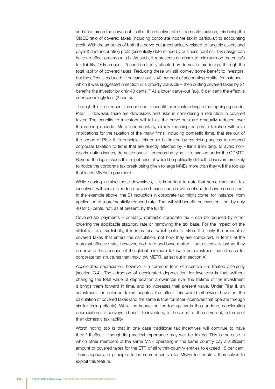and (2) a tax on the carve-out itself at the effective rate of domestic taxation, this being the GloBE ratio of covered taxes (including corporate income tax in particular) to accounting profit. With the amounts of both the carve-out (mechanically related to tangible assets and payroll) and accounting profit (essentially determined by business realities), tax design can have no effect on amount (1). As such, it represents an absolute minimum on the entity's tax liability. Only amount (2) can be directly affected by domestic tax design, through the total liability of covered taxes. Reducing these will still convey some benefit to investors, but the effect is reduced: if the carve-out is 40 per cent of accounting profits, for instance – which it was suggested in section B is broadly plausible – then cutting covered taxes by \$1 benefits the investor by only 40 cents.<sup>52</sup> At a lower carve-out (e.g. 5 per cent) the effect is correspondingly less (2 cents).

Through this route incentives continue to benefit the investor despite the topping up under Pillar II. However, there are downsides and risks in considering a reduction in covered taxes. The benefits to investors will fall as the carve-outs are gradually reduced over the coming decade. More fundamentally, simply reducing corporate taxation will have implications for the taxation of the many firms, including domestic firms, that are out of the scope of Pillar II. In principle, this could be limited by restricting access to reduced corporate taxation to firms that are directly affected by Pillar II (including, to avoid nondiscrimination issues, domestic ones) – perhaps by tying it to taxation under the QDMTT. Beyond the legal issues this might raise, it would be politically difficult: observers are likely to notice the corporate tax break being given to large MNEs more than they will the top-up that leads MNEs to pay more.

While bearing in mind those downsides, it is important to note that some traditional tax incentives will serve to reduce covered taxes and so will continue to have some effect. In the example above, the \$1 reduction in corporate tax might come, for instance, from application of a preferentially reduced rate. That will still benefit the investor – but by only 40 (or 5) cents, not, as at present, by the full \$1.

Covered tax payments – primarily, domestic corporate tax – can be reduced by either lowering the applicable statutory rate or narrowing the tax base. For the impact on the affiliate's total tax liability, it is immaterial which path is taken. It is only the amount of covered taxes that enters the calculation, not how they are computed. In terms of the marginal effective rate, however, both rate and base matter – but essentially just as they do now in the absence of the global minimum tax (with an investment-based case for corporate tax structures that imply low METR, as set out in section A).

Accelerated depreciation, however – a common form of incentive – is treated differently (section C.4). The attraction of accelerated depreciation for investors is that, without changing the total value of depreciation allowances over the lifetime of the investment it brings them forward in time, and so increases their present value. Under Pillar II, an adjustment for deferred taxes negates the effect this would otherwise have on the calculation of covered taxes (and the same is true for other incentives that operate through similar timing effects). While the impact on the top-up tax is thus undone, accelerating depreciation still conveys a benefit to investors, to the extent of the carve-out, in terms of their domestic tax liability.

Worth noting too is that in one case traditional tax incentives will continue to have their full effect – though its practical importance may well be limited. This is the case in which other members of the same MNE operating in the same country pay a sufficient amount of covered taxes for the ETR of all within-country entities to exceed 15 per cent. There appears, in principle, to be some incentive for MNEs to structure themselves to exploit this feature.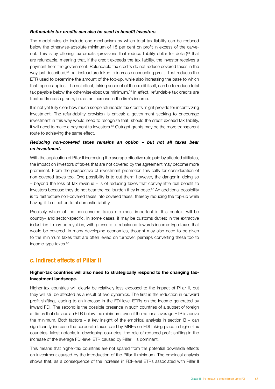#### *Refundable tax credits can also be used to benefit investors.*

The model rules do include one mechanism by which total tax liability can be reduced below the otherwise-absolute minimum of 15 per cent on profit in excess of the carveout. This is by offering tax credits (provisions that reduce liability dollar for dollar)<sup>53</sup> that are refundable, meaning that, if the credit exceeds the tax liability, the investor receives a payment from the government. Refundable tax credits do not reduce covered taxes in the way just described,<sup>54</sup> but instead are taken to increase accounting profit. That reduces the ETR used to determine the amount of the top-up, while also increasing the base to which that top-up applies. The net effect, taking account of the credit itself, can be to reduce total tax payable below the otherwise-absolute minimum.<sup>55</sup> In effect, refundable tax credits are treated like cash grants, i.e. as an increase in the firm's income.

It is not yet fully clear how much scope refundable tax credits might provide for incentivizing investment. The refundability provision is critical: a government seeking to encourage investment in this way would need to recognize that, should the credit exceed tax liability, it will need to make a payment to investors.<sup>56</sup> Outright grants may be the more transparent route to achieving the same effect.

#### *Reducing non-covered taxes remains an option – but not all taxes bear on investment.*

With the application of Pillar II increasing the average effective rate paid by affected affiliates, the impact on investors of taxes that are not covered by the agreement may become more prominent. From the perspective of investment promotion this calls for consideration of non-covered taxes too. One possibility is to cut them; however, the danger in doing so – beyond the loss of tax revenue – is of reducing taxes that convey little real benefit to investors because they do not bear the real burden they impose.<sup>57</sup> An additional possibility is to restructure non-covered taxes into covered taxes, thereby reducing the top-up while having little effect on total domestic liability.

Precisely which of the non-covered taxes are most important in this context will be country- and sector-specific. In some cases, it may be customs duties; in the extractive industries it may be royalties, with pressure to rebalance towards income-type taxes that would be covered. In many developing economies, thought may also need to be given to the minimum taxes that are often levied on turnover, perhaps converting these too to income-type taxes.58

#### c. Indirect effects of Pillar II

#### Higher-tax countries will also need to strategically respond to the changing taxinvestment landscape.

Higher-tax countries will clearly be relatively less exposed to the impact of Pillar II, but they will still be affected as a result of two dynamics. The first is the reduction in outward profit shifting, leading to an increase in the FDI-level ETRs on the income generated by inward FDI. The second is the possible presence in such countries of a subset of foreign affiliates that do face an ETR below the minimum, even if the national average ETR is above the minimum. Both factors – a key insight of the empirical analysis in section  $B - can$ significantly increase the corporate taxes paid by MNEs on FDI taking place in higher-tax countries. Most notably, in developing countries, the role of reduced profit shifting in the increase of the average FDI-level ETR caused by Pillar II is dominant.

This means that higher-tax countries are not spared from the potential downside effects on investment caused by the introduction of the Pillar II minimum. The empirical analysis shows that, as a consequence of the increase in FDI-level ETRs associated with Pillar II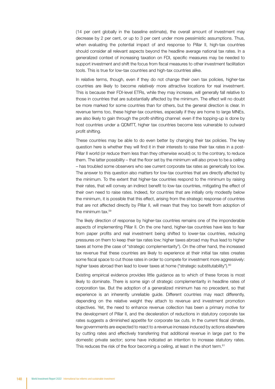(14 per cent globally in the baseline estimate), the overall amount of investment may decrease by 2 per cent, or up to 3 per cent under more pessimistic assumptions. Thus, when evaluating the potential impact of and response to Pillar II, high-tax countries should consider all relevant aspects beyond the headline average national tax rates. In a generalized context of increasing taxation on FDI, specific measures may be needed to support investment and shift the focus from fiscal measures to other investment facilitation tools. This is true for low-tax countries and high-tax countries alike.

In relative terms, though, even if they do not change their own tax policies, higher-tax countries are likely to become *relatively* more attractive locations for real investment. This is because their FDI-level ETRs, while they may increase, will generally fall relative to those in countries that are substantially affected by the minimum. The effect will no doubt be more marked for some countries than for others, but the general direction is clear. In revenue terms too, these higher-tax countries, especially if they are home to large MNEs, are also likely to gain through the profit-shifting channel: even if the topping-up is done by host countries under a QDMTT, higher tax countries become less vulnerable to outward profit shifting.

These countries may be able to do even better by changing their tax policies. The key question here is whether they will find it in their interests to raise their tax rates in a post-Pillar II world (or reduce them less than they otherwise would) or, to the contrary, to reduce them. The latter possibility – that the floor set by the minimum will also prove to be a ceiling – has troubled some observers who see current corporate tax rates as generically too low. The answer to this question also matters for low-tax countries that are directly affected by the minimum. To the extent that higher-tax countries respond to the minimum by raising their rates, that will convey an indirect benefit to low-tax countries, mitigating the effect of their own need to raise rates. Indeed, for countries that are initially only modestly below the minimum, it is possible that this effect, arising from the strategic response of countries that are not affected directly by Pillar II, will mean that they too benefit from adoption of the minimum tax.59

The likely direction of response by higher-tax countries remains one of the imponderable aspects of implementing Pillar II. On the one hand, higher-tax countries have less to fear from paper profits and real investment being shifted to lower-tax countries, reducing pressures on them to keep their tax rates low; higher taxes abroad may thus lead to higher taxes at home (the case of "strategic complementarity"). On the other hand, the increased tax revenue that these countries are likely to experience at their initial tax rates creates some fiscal space to cut those rates in order to compete for investment more aggressively: higher taxes abroad then lead to lower taxes at home ("strategic substitutability").<sup>60</sup>

Existing empirical evidence provides little guidance as to which of these forces is most likely to dominate. There is some sign of strategic complementarity in headline rates of corporation tax. But the adoption of a generalized minimum has no precedent, so that experience is an inherently unreliable guide. Different countries may react differently, depending on the relative weight they attach to revenue and investment promotion objectives. Yet, the need to enhance revenue collection has been a primary motive for the development of Pillar II, and the deceleration of reductions in statutory corporate tax rates suggests a diminished appetite for corporate tax cuts. In the current fiscal climate, few governments are expected to react to a revenue increase induced by actions elsewhere by cutting rates and effectively transferring that additional revenue in large part to the domestic private sector; some have indicated an intention to increase statutory rates. This reduces the risk of the floor becoming a ceiling, at least in the short term.<sup>61</sup>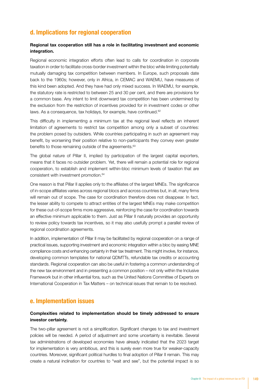## d. Implications for regional cooperation

#### Regional tax cooperation still has a role in facilitating investment and economic integration.

Regional economic integration efforts often lead to calls for coordination in corporate taxation in order to facilitate cross-border investment within the bloc while limiting potentially mutually damaging tax competition between members. In Europe, such proposals date back to the 1960s; however, only in Africa, in CEMAC and WAEMU, have measures of this kind been adopted. And they have had only mixed success. In WAEMU, for example, the statutory rate is restricted to between 25 and 30 per cent, and there are provisions for a common base. Any intent to limit downward tax competition has been undermined by the exclusion from the restriction of incentives provided for in investment codes or other laws. As a consequence, tax holidays, for example, have continued.<sup>62</sup>

This difficulty in implementing a minimum tax at the regional level reflects an inherent limitation of agreements to restrict tax competition among only a subset of countries: the problem posed by outsiders. While countries participating in such an agreement may benefit, by worsening their position relative to non-participants they convey even greater benefits to those remaining outside of the agreements.<sup>63</sup>

The global nature of Pillar II, implied by participation of the largest capital exporters, means that it faces no outsider problem. Yet, there will remain a potential role for regional cooperation, to establish and implement within-bloc minimum levels of taxation that are consistent with investment promotion.64

One reason is that Pillar II applies only to the affiliates of the largest MNEs. The significance of in-scope affiliates varies across regional blocs and across countries but, in all, many firms will remain out of scope. The case for coordination therefore does not disappear. In fact, the lesser ability to compete to attract entities of the largest MNEs may make competition for these out-of-scope firms more aggressive, reinforcing the case for coordination towards an effective minimum applicable to them. Just as Pillar II naturally provides an opportunity to review policy towards tax incentives, so it may also usefully prompt a parallel review of regional coordination agreements.

In addition, implementation of Pillar II may be facilitated by regional cooperation on a range of practical issues, supporting investment and economic integration within a bloc by easing MNE compliance costs and enhancing certainty in their tax treatment. This might involve, for instance, developing common templates for national QDMTTs, refundable tax credits or accounting standards. Regional cooperation can also be useful in fostering a common understanding of the new tax environment and in presenting a common position – not only within the Inclusive Framework but in other influential fora, such as the United Nations Committee of Experts on International Cooperation in Tax Matters – on technical issues that remain to be resolved.

#### e. Implementation issues

#### Complexities related to implementation should be timely addressed to ensure investor certainty.

The two-pillar agreement is not a simplification. Significant changes to tax and investment policies will be needed. A period of adjustment and some uncertainty is inevitable. Several tax administrations of developed economies have already indicated that the 2023 target for implementation is very ambitious, and this is surely even more true for weaker-capacity countries. Moreover, significant political hurdles to final adoption of Pillar II remain. This may create a natural inclination for countries to "wait and see", but the potential impact is so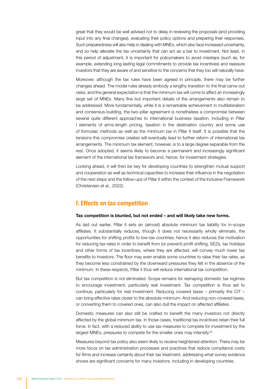great that they would be well advised not to delay in reviewing the proposals (and providing input into any final changes), evaluating their policy options and preparing their responses. Such preparedness will also help in dealing with MNEs, which also face increased uncertainty, and so help alleviate the tax uncertainty that can act as a bar to investment. Not least, in this period of adjustment, it is important for policymakers to avoid missteps (such as, for example, extending long-lasting legal commitments to provide tax incentives) and reassure investors that they are aware of and sensitive to the concerns that they too will naturally have.

Moreover, although the tax rules have been agreed in principle, there may be further changes ahead. The model rules already embody a lengthy transition to the final carve-out rates, and the general expectation is that the minimum tax will come to affect an increasingly large set of MNEs. Many fine but important details of the arrangements also remain to be addressed. More fundamentally, while it is a remarkable achievement in multilateralism and consensus-building, the two-pillar agreement is nonetheless a compromise between several quite different approaches to international business taxation, including in Pillar I elements of arms-length pricing, taxation in the destination country and some use of formulaic methods as well as the minimum tax in Pillar II itself. It is possible that the tensions this compromise creates will eventually lead to further reform of international tax arrangements. The minimum tax element, however, is to a large degree separable from the rest. Once adopted, it seems likely to become a permanent and increasingly significant element of the international tax framework and, hence, for investment strategies.

Looking ahead, it will then be key for developing countries to strengthen mutual support and cooperation as well as technical capacities to increase their influence in the negotiation of the next steps and the follow-ups of Pillar II within the context of the Inclusive Framework (Christensen et al., 2022).

#### f. Effects on tax competition

#### Tax competition is blunted, but not ended – and will likely take new forms.

As laid out earlier, Pillar II sets an (almost) absolute minimum tax liability for in-scope affiliates. It substantially reduces, though it does not necessarily wholly eliminate, the opportunities for shifting profits to low-tax countries; hence it also reduces the motivation for reducing tax rates in order to benefit from (or prevent) profit shifting. SEZs, tax holidays and other forms of tax incentives, where they are affected, will convey much lower tax benefits to investors. The floor may even enable some countries to raise their tax rates, as they become less constrained by the downward pressures they felt in the absence of the minimum. In these respects, Pillar II thus will reduce international tax competition.

But tax competition is not eliminated. Scope remains for reshaping domestic tax regimes to encourage investment, particularly real investment. Tax competition is thus set to continue, particularly for real investment. Reducing covered taxes – primarily the CIT – can bring effective rates closer to the absolute minimum. And reducing non-covered taxes, or converting them to covered ones, can also dull the impact on affected affiliates.

Domestic measures can also still be crafted to benefit the many investors not directly affected by the global minimum tax. In those cases, traditional tax incentives retain their full force. In fact, with a reduced ability to use tax measures to compete for investment by the largest MNEs, pressures to compete for the smaller ones may intensify.<sup>65</sup>

Measures beyond tax policy also seem likely to receive heightened attention. There may be more focus on tax administration processes and practices that reduce compliance costs for firms and increase certainty about their tax treatment, addressing what survey evidence shows are significant concerns for many investors, including in developing countries.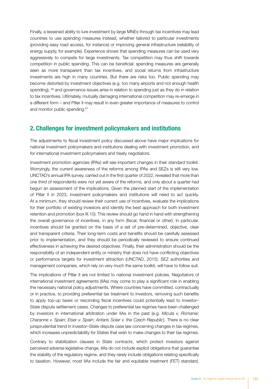Finally, a lessened ability to lure investment by large MNEs through tax incentives may lead countries to use spending measures instead, whether tailored to particular investments (providing easy road access, for instance) or improving general infrastructure (reliability of energy supply, for example). Experience shows that spending measures can be used very aggressively to compete for large investments. Tax competition may thus shift towards competition in public spending. This can be beneficial: spending measures are generally seen as more transparent than tax incentives, and social returns from infrastructure investments are high in many countries. But there are risks too. Public spending may become distorted by investment objectives (e.g. too many airports and not enough health spending),  $66$  and governance issues arise in relation to spending just as they do in relation to tax incentives. Ultimately, mutually damaging international competition may re-emerge in a different form – and Pillar II may result in even greater importance of measures to control and monitor public spending.<sup>67</sup>

#### 2. Challenges for investment policymakers and institutions

The adjustments to fiscal investment policy discussed above have major implications for national investment policymakers and institutions dealing with investment promotion, and for international investment policymakers and treaty negotiators.

Investment promotion agencies (IPAs) will see important changes in their standard toolkit. Worryingly, the current awareness of the reforms among IPAs and SEZs is still very low. UNCTAD's annual IPA survey, carried out in the first quarter of 2022, revealed that more than one third of respondents were not yet aware of the reforms, and only about a quarter had begun an assessment of the implications. Given the planned start of the implementation of Pillar II in 2023, investment policymakers and institutions will need to act quickly. At a minimum, they should review their current use of incentives, evaluate the implications for their portfolio of existing investors and identify the best approach for both investment retention and promotion (box III.10). This review should go hand in hand with strengthening the overall governance of incentives, in any form (fiscal, financial or other). In particular, incentives should be granted on the basis of a set of pre-determined, objective, clear and transparent criteria. Their long-term costs and benefits should be carefully assessed prior to implementation, and they should be periodically reviewed to ensure continued effectiveness in achieving the desired objectives. Finally, their administration should be the responsibility of an independent entity or ministry that does not have conflicting objectives or performance targets for investment attraction (UNCTAD, 2015). SEZ authorities and management companies, which rely on very much the same toolkit, will have to follow suit.

The implications of Pillar II are not limited to national investment policies. Negotiators of international investment agreements (IIAs) may come to play a significant role in enabling the necessary national policy adjustments. Where countries have committed, contractually or in practice, to providing preferential tax treatment to investors, removing such benefits to apply top-up taxes or rescinding fiscal incentives could potentially lead to investor– State dispute settlement cases. Changes to preferential tax regimes have been challenged by investors in international arbitration under IIAs in the past (e.g. *Micula v. Romania*; *Charanne v. Spain*; *Eiser v. Spain*; *Antaris Solar v. the Czech Republic*). There is no clear jurisprudential trend in investor–State dispute case law concerning changes in tax regimes, which increases unpredictability for States that wish to make changes to their tax regimes.

Contrary to stabilization clauses in State contracts, which protect investors against perceived adverse legislative change, IIAs do not include explicit obligations that guarantee the stability of the regulatory regime, and they rarely include obligations relating specifically to taxation. However, most IIAs include the fair and equitable treatment (FET) standard,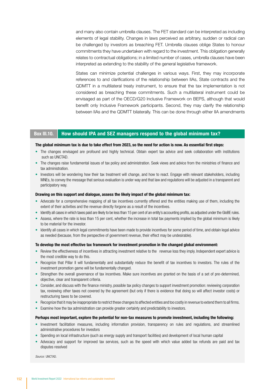and many also contain umbrella clauses. The FET standard can be interpreted as including elements of legal stability. Changes in laws perceived as arbitrary, sudden or radical can be challenged by investors as breaching FET. Umbrella clauses oblige States to honour commitments they have undertaken with regard to the investment. This obligation generally relates to contractual obligations; in a limited number of cases, umbrella clauses have been interpreted as extending to the stability of the general legislative framework.

States can minimize potential challenges in various ways. First, they may incorporate references to and clarifications of the relationship between IIAs, State contracts and the QDMTT in a multilateral treaty instrument, to ensure that the tax implementation is not considered as breaching these commitments. Such a multilateral instrument could be envisaged as part of the OECD/G20 Inclusive Framework on BEPS, although that would benefit only Inclusive Framework participants. Second, they may clarify the relationship between IIAs and the QDMTT bilaterally. This can be done through either IIA amendments

#### Box III.10. How should IPA and SEZ managers respond to the global minimum tax?

#### The global minimum tax is due to take effect from 2023, so the need for action is now. As essential first steps:

- The changes envisaged are profound and highly technical. Obtain expert tax advice and seek collaboration with institutions such as UNCTAD.
- The changes raise fundamental issues of tax policy and administration. Seek views and advice from the ministries of finance and tax administration.
- Investors will be wondering how their tax treatment will change, and how to react. Engage with relevant stakeholders, including MNEs, to convey the message that serious evaluation is under way and that law and regulations will be adjusted in a transparent and participatory way.

#### Drawing on this support and dialogue, assess the likely impact of the global minimum tax:

- Advocate for a comprehensive mapping of all tax incentives currently offered and the entities making use of them, including the extent of their activities and the revenue directly forgone as a result of the incentives.
- Identify all cases in which taxes paid are likely to be less than 15 per cent of an entity's accounting profits, as adjusted under the GloBE rules.
- Assess, where the rate is less than 15 per cent, whether the increase in total tax payments implied by the global minimum is likely to be material for the investor.
- Identify all cases in which legal commitments have been made to provide incentives for some period of time, and obtain legal advice as needed (because, from the perspective of government revenue, their effect may be undesirable).

#### To develop the most effective tax framework for investment promotion in the changed global environment:

- Review the effectiveness of incentives in attracting investment relative to the revenue loss they imply. Independent expert advice is the most credible way to do this.
- Recognize that Pillar II will fundamentally and substantially reduce the benefit of tax incentives to investors. The rules of the investment promotion game will be fundamentally changed.
- Strengthen the overall governance of tax incentives. Make sure incentives are granted on the basis of a set of pre-determined, objective, clear and transparent criteria.
- Consider, and discuss with the finance ministry, possible tax policy changes to support investment promotion: reviewing corporation tax, reviewing other taxes not covered by the agreement (but only if there is evidence that doing so will affect investor costs) or restructuring taxes to be covered.
- Recognize that it may be inappropriate to restrict these changes to affected entities and too costly in revenue to extend them to all firms.
- Examine how the tax administration can provide greater certainty and predictability to investors.

#### Perhaps most important, explore the potential for non-tax measures to promote investment, including the following:

- Investment facilitation measures, including information provision, transparency on rules and regulations, and streamlined administrative procedures for investors
- Spending on local infrastructure (such as energy supply and transport facilities) and development of local human capital
- Advocacy and support for improved tax services, such as the speed with which value added tax refunds are paid and tax disputes resolved

*Source:* UNCTAD.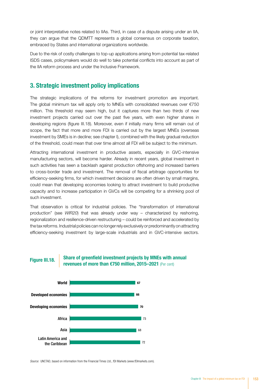or joint interpretative notes related to IIAs. Third, in case of a dispute arising under an IIA, they can argue that the QDMTT represents a global consensus on corporate taxation, embraced by States and international organizations worldwide.

Due to the risk of costly challenges to top-up applications arising from potential tax-related ISDS cases, policymakers would do well to take potential conflicts into account as part of the IIA reform process and under the Inclusive Framework.

#### 3. Strategic investment policy implications

The strategic implications of the reforms for investment promotion are important. The global minimum tax will apply only to MNEs with consolidated revenues over €750 million. This threshold may seem high, but it captures more than two thirds of new investment projects carried out over the past five years, with even higher shares in developing regions (figure III.18). Moreover, even if initially many firms will remain out of scope, the fact that more and more FDI is carried out by the largest MNEs (overseas investment by SMEs is in decline; see chapter I), combined with the likely gradual reduction of the threshold, could mean that over time almost all FDI will be subject to the minimum.

Attracting international investment in productive assets, especially in GVC-intensive manufacturing sectors, will become harder. Already in recent years, global investment in such activities has seen a backlash against production offshoring and increased barriers to cross-border trade and investment. The removal of fiscal arbitrage opportunities for efficiency-seeking firms, for which investment decisions are often driven by small margins, could mean that developing economies looking to attract investment to build productive capacity and to increase participation in GVCs will be competing for a shrinking pool of such investment.

That observation is critical for industrial policies. The "transformation of international production" (see *WIR20*) that was already under way – characterized by reshoring, regionalization and resilience-driven restructuring – could be reinforced and accelerated by the tax reforms. Industrial policies can no longer rely exclusively or predominantly on attracting efficiency-seeking investment by large-scale industrials and in GVC-intensive sectors.



Share of greenfield investment projects by MNEs with annual Figure III.18. Share or green end investment projects by MNES with a revenues of more than  $\epsilon$ 750 million, 2015–2021 (Per cent)



*Source:* UNCTAD, based on information from the Financial Times Ltd., fDI Markets (www.fDImarkets.com).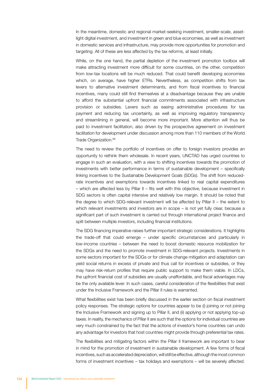In the meantime, domestic and regional market-seeking investment, smaller-scale, assetlight digital investment, and investment in green and blue economies, as well as investment in domestic services and infrastructure, may provide more opportunities for promotion and targeting. All of these are less affected by the tax reforms, at least initially.

While, on the one hand, the partial depletion of the investment promotion toolbox will make attracting investment more difficult for some countries, on the other, competition from low-tax locations will be much reduced. That could benefit developing economies which, on average, have higher ETRs. Nevertheless, as competition shifts from tax levers to alternative investment determinants, and from fiscal incentives to financial incentives, many could still find themselves at a disadvantage because they are unable to afford the substantial upfront financial commitments associated with infrastructure provision or subsidies. Levers such as easing administrative procedures for tax payment and reducing tax uncertainty, as well as improving regulatory transparency and streamlining in general, will become more important. More attention will thus be paid to investment facilitation, also driven by the prospective agreement on investment facilitation for development under discussion among more than 110 members of the World Trade Organization.<sup>68</sup>

The need to review the portfolio of incentives on offer to foreign investors provides an opportunity to rethink them wholesale. In recent years, UNCTAD has urged countries to engage in such an evaluation, with a view to shifting incentives towards the promotion of investments with better performance in terms of sustainable development – specifically linking incentives to the Sustainable Development Goals (SDGs). The shift from reducedrate incentives and exemptions towards incentives linked to real capital expenditures – which are affected less by Pillar II – fits well with this objective, because investment in SDG sectors is often capital intensive and relatively low margin. It should be noted that the degree to which SDG-relevant investment will be affected by Pillar II – the extent to which relevant investments and investors are in scope – is not yet fully clear, because a significant part of such investment is carried out through international project finance and split between multiple investors, including financial institutions.

The SDG financing imperative raises further important strategic considerations. It highlights the trade-off that could emerge – under specific circumstances and particularly in low-income countries – between the need to boost domestic resource mobilization for the SDGs and the need to promote investment in SDG-relevant projects. Investments in some sectors important for the SDGs or for climate change mitigation and adaptation can yield social returns in excess of private and thus call for incentives or subsidies, or they may have risk-return profiles that require public support to make them viable. In LDCs, the upfront financial cost of subsidies are usually unaffordable, and fiscal advantages may be the only available lever. In such cases, careful consideration of the flexibilities that exist under the Inclusive Framework and the Pillar II rules is warranted.

What flexibilities exist has been briefly discussed in the earlier section on fiscal investment policy responses. The strategic options for countries appear to be (i) joining or not joining the Inclusive Framework and signing up to Pillar II, and (ii) applying or not applying top-up taxes. In reality, the mechanics of Pillar II are such that the options for individual countries are very much constrained by the fact that the actions of investor's home countries can undo any advantage for investors that host countries might provide through preferential tax rates.

The flexibilities and mitigating factors within the Pillar II framework are important to bear in mind for the promotion of investment in sustainable development. A few forms of fiscal incentives, such as accelerated depreciation, will still be effective, although the most common forms of investment incentives – tax holidays and exemptions – will be severely affected.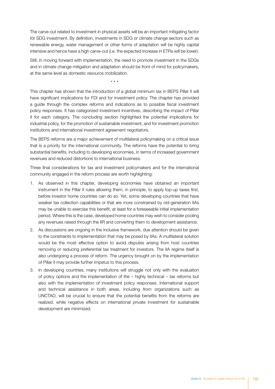The carve-out related to investment in physical assets will be an important mitigating factor for SDG investment. By definition, investments in SDG or climate change sectors such as renewable energy, water management or other forms of adaptation will be highly capital intensive and hence have a high carve-out (i.e. the expected increase in ETRs will be lower).

Still, in moving forward with implementation, the need to promote investment in the SDGs and in climate change mitigation and adaptation should be front of mind for policymakers, at the same level as domestic resource mobilization.

\* \* \*

This chapter has shown that the introduction of a global minimum tax in BEPS Pillar II will have significant implications for FDI and for investment policy. The chapter has provided a guide through the complex reforms and indications as to possible fiscal investment policy responses. It has categorized investment incentives, describing the impact of Pillar II for each category. The concluding section highlighted the potential implications for industrial policy, for the promotion of sustainable investment, and for investment promotion institutions and international investment agreement negotiators.

The BEPS reforms are a major achievement of multilateral policymaking on a critical issue that is a priority for the international community. The reforms have the potential to bring substantial benefits, including to developing economies, in terms of increased government revenues and reduced distortions to international business.

Three final considerations for tax and investment policymakers and for the international community engaged in the reform process are worth highlighting:

- 1. As observed in this chapter, developing economies have obtained an important instrument in the Pillar II rules allowing them, in principle, to apply top-up taxes first, before investor home countries can do so. Yet, some developing countries that have weaker tax collection capabilities or that are more constrained by old-generation IIAs may be unable to exercise this benefit, at least for a foreseeable initial implementation period. Where this is the case, developed home countries may wish to consider pooling any revenues raised through the IIR and converting them to development assistance.
- 2. As discussions are ongoing in the Inclusive framework, due attention should be given to the constraints to implementation that may be posed by IIAs. A multilateral solution would be the most effective option to avoid disputes arising from host countries removing or reducing preferential tax treatment for investors. The IIA regime itself is also undergoing a process of reform. The urgency brought on by the implementation of Pillar II may provide further impetus to this process.
- 3. In developing countries, many institutions will struggle not only with the evaluation of policy options and the implementation of the – highly technical – tax reforms but also with the implementation of investment policy responses. International support and technical assistance in both areas, including from organizations such as UNCTAD, will be crucial to ensure that the potential benefits from the reforms are realized, while negative effects on international private investment for sustainable development are minimized.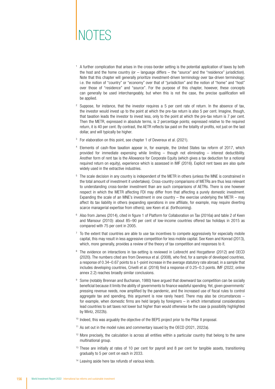# NOTES

- <sup>1</sup> A further complication that arises in the cross-border setting is the potential application of taxes by both the host and the home country (or – language differs – the "source" and the "residence" jurisdiction). Note that this chapter will generally prioritize investment-driven terminology over tax-driven terminology; i.e. the notion of "country" or "economy" over that of "jurisdiction" and the notion of "home" and "host" over those of "residence" and "source". For the purpose of this chapter, however, these concepts can generally be used interchangeably, but when this is not the case, the precise qualification will be applied.
- <sup>2</sup> Suppose, for instance, that the investor requires a 5 per cent rate of return. In the absence of tax, the investor would invest up to the point at which the pre-tax return is also 5 per cent. Imagine, though, that taxation leads the investor to invest less, only to the point at which the pre-tax return is 7 per cent. Then the METR, expressed in absolute terms, is 2 percentage points; expressed relative to the required return, it is 40 per cent. By contrast, the AETR reflects tax paid on the totality of profits, not just on the last dollar, and will typically be higher.
- <sup>3</sup> For elaboration on this point, see chapter 1 of Devereux et al. (2021).
- <sup>4</sup> Elements of cash-flow taxation appear in, for example, the United States tax reform of 2017, which provided for immediate expensing while limiting – though not eliminating – interest deductibility. Another form of rent tax is the Allowance for Corporate Equity (which gives a tax deduction for a notional required return on equity), experience which is assessed in IMF (2016). Explicit rent taxes are also quite widely used in the extractive industries.
- <sup>5</sup> The scale decision in any country is independent of the METR in others (unless the MNE is constrained in the total amount of investment it undertakes). Cross-country comparisons of METRs are thus less relevant to understanding cross-border investment than are such comparisons of AETRs. There is one however respect in which the METR affecting FDI may differ from that affecting a purely domestic investment. Expanding the scale of an MNE's investment in one country  $-$  the exercise underlying the METR  $-$  may affect its tax liability in others (expanding operations in one affiliate, for example, may require diverting scarce managerial expertise from others); see Keen et al. (forthcoming).
- <sup>6</sup> Also from James (2014), cited in figure 1 of Platform for Collaboration on Tax (2016a) and table 2 of Keen and Mansour (2010): about 85–90 per cent of low-income countries offered tax holidays in 2015 as compared with 75 per cent in 2005.
- <sup>7</sup> To the extent that countries are able to use tax incentives to compete aggressively for especially mobile capital, this may result in less aggressive competition for less mobile capital. See Keen and Konrad (2013), which, more generally, provides a review of the theory of tax competition and responses to it.
- <sup>8</sup> The evidence on interactions in tax-setting is reviewed in Leibrecht and Hocgatterer (2012) and OECD (2020). The numbers cited are from Devereux et al. (2008), who find, for a sample of developed countries, a response of 0.34–0.67 points to a 1-point increase in the average statutory rate abroad; in a sample that includes developing countries, Crivelli et al. (2016) find a response of 0.25–0.3 points. IMF (2022, online annex 2.2) reaches broadly similar conclusions.
- 9 Some (notably Brennan and Buchanan, 1980) have argued that downward tax competition can be socially beneficial because it limits the ability of governments to finance wasteful spending. Yet, given governments' pressing revenue needs, now amplified by the pandemic, and the increased use of fiscal rules to control aggregate tax and spending, this argument is now rarely heard. There may also be circumstances  $$ for example, when domestic firms are held largely by foreigners – in which international considerations lead countries to set taxes not lower but higher than would otherwise be the case (a possibility highlighted by Mintz, 2022b).
- <sup>10</sup> Indeed, this was arguably the objective of the BEPS project prior to the Pillar II proposal.
- <sup>11</sup> As set out in the model rules and commentary issued by the OECD (2021, 2022a).
- <sup>12</sup> More precisely, the calculation is across all entities within a particular country that belong to the same multinational group.
- <sup>13</sup> These are initially at rates of 10 per cent for payroll and 8 per cent for tangible assets, transitioning gradually to 5 per cent on each in 2033.
- <sup>14</sup> Leaving aside here tax refunds of various kinds.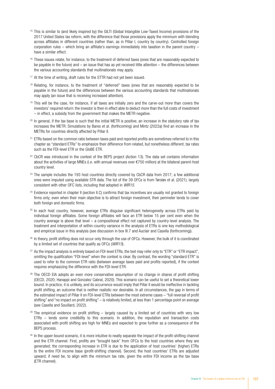- <sup>15</sup> This is similar to (and likely inspired by) the GILTI (Global Intangible Low-Taxed Income) provisions of the 2017 United States tax reform, with the difference that those provisions apply the minimum with blending across affiliates in different countries (rather than, as in Pillar I, country by country). Controlled foreign corporation rules – which bring an affiliate's earnings immediately into taxation in the parent country – have a similar effect.
- <sup>16</sup> These issues relate, for instance, to the treatment of deferred taxes (ones that are reasonably expected to be payable in the future) and – an issue that has as yet received little attention – the differences between the various accounting standards that multinationals may apply.
- <sup>17</sup> At the time of writing, draft rules for the STTR had not yet been issued.
- <sup>18</sup> Relating, for instance, to the treatment of "deferred" taxes (ones that are reasonably expected to be payable in the future) and the differences between the various accounting standards that multinationals may apply (an issue that is receiving increased attention).
- <sup>19</sup> This will be the case, for instance, if all taxes are initially zero and the carve-out more than covers the investors' required return: the investor is then in effect able to deduct more than the full costs of investment – in effect, a subsidy from the government that makes the METR negative.
- <sup>20</sup> In general, if the tax base is such that the initial METR is positive, an increase in the statutory rate of tax increases the METR. Simulations by Bares et al. (forthcoming) and Mintz (2022a) find an increase in the METRs for countries directly affected by Pillar II.
- <sup>21</sup> ETRs based on the common ratio between taxes paid and reported profits are sometimes referred to in this chapter as "standard ETRs" to emphasize their difference from related, but nonetheless different, tax rates such as the FDI-level ETR or the GloBE ETR.
- <sup>22</sup> CbCR was introduced in the context of the BEPS project (Action 13). The data set contains information about the activities of large MNEs (i.e. with annual revenues over €750 million) at the bilateral parent-host country level.
- <sup>23</sup> The sample includes the 193 host countries directly covered by CbCR data from 2017; a few additional ones were imputed using available STR data. The list of the 39 OFCs is from Tørsløv et al. (2021), largely consistent with other OFC lists, including that adopted in *WIR15*.
- <sup>24</sup> Evidence reported in chapter II (section II.C) confirms that tax incentives are usually not granted to foreign firms only; even when their main objective is to attract foreign investment, their perimeter tends to cover both foreign and domestic firms.
- <sup>25</sup> In each host country, however, average ETRs disguise significant heterogeneity across ETRs paid by individual foreign affiliates. Some foreign affiliates will face an ETR below 15 per cent even when the country average is above that level  $-a$  compositional effect not captured by country-level analysis. The treatment and interpretation of within-country variance in the analysis of ETRs is one key methodological and empirical issue in this analysis (see discussion in box III.7 and Auclair and Casella (forthcoming)).
- <sup>26</sup> In theory, profit shifting does not occur only through the use of OFCs. However, the bulk of it is coordinated by a limited set of countries that qualify as OFCs (*WIR15*).
- $27$  As the impact analysis is entirely based on FDI-level ETRs, the text may refer only to "ETR" or "ETR impact", omitting the qualification "FDI-level" when the context is clear. By contrast, the wording "standard ETR" is used to refer to the common ETR ratio (between average taxes paid and profits reported), if the context requires emphasizing the difference with the FDI-level ETR.
- <sup>28</sup> The OECD EIA adopts an even more conservative assumption of no change in shares of profit shifting (OECD, 2020; Hanappi and Gonzalez Cabral, 2020). This scenario can be useful to set a theoretical lower bound. In practice, it is unlikely, and its occurrence would imply that Pillar II would be ineffective in tackling profit shifting, an outcome that is neither realistic nor desirable. In all circumstances, the gap in terms of the estimated impact of Pillar II on FDI-level ETRs between the most extreme cases – "full reversal of profit shifting" and "no impact on profit shifting" – is relatively limited, at less than 1 percentage point on average (see Casella and Souillard, 2022).
- $29$  The empirical evidence on profit shifting largely caused by a limited set of countries with very low ETRs – lends some credibility to this scenario. In addition, the reputation and transaction costs associated with profit shifting are high for MNEs and expected to grow further as a consequence of the BEPS process.
- <sup>30</sup> In the upper-bound scenario, it is more intuitive to neatly separate the impact of the profit-shifting channel and the ETR channel. First, profits are "brought back" from OFCs to the host countries where they are generated; the corresponding increase in ETR is due to the application of host countries' (higher) ETRs to the entire FDI income base (profit-shifting channel). Second, the host countries' ETRs are adjusted upward, if need be, to align with the minimum tax rate, given the entire FDI income as the tax base (ETR channel).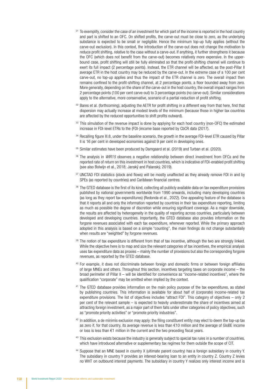- <sup>31</sup> To exemplify, consider the case of an investment for which part of the income is reported in the host country and part is shifted to an OFC. On shifted profits, the carve-out must be close to zero, as the underlying substance is expected to be small or negligible. Hence the minimum top-up fully applies (without the carve-out exclusion). In this context, the introduction of the carve-out does not change the motivation to reduce profit shifting, relative to the case without a carve-out. If anything, it further strengthens it because the OFC (which does not benefit from the carve-out) becomes relatively more expensive. In the upperbound case, profit shifting will still be fully eliminated so that the profit-shifting channel will continue to exert its full impact (2 percentage points). Instead, the ETR channel will be affected, as the post-Pillar II average ETR in the host country may be reduced by the carve-out. In the extreme case of a 100 per cent carve-out, no top-up applies and thus the impact of the ETR channel is zero. The overall impact then remains confined to the profit-shifting channel, at 2 percentage points, a floor bounded away from zero. More generally, depending on the share of the carve-out in the host country, the overall impact ranges from 2 percentage points (100 per cent carve-out) to 3 percentage points (no carve-out). Similar considerations apply to the alternative, more conservative, scenario of a partial reduction of profit shifting.
- 32 Bares et al. (forthcoming), adjusting the AETR for profit shifting in a different way from that here, find that dispersion may actually increase at modest levels of the minimum (because those in higher tax countries are affected by the reduced opportunities to shift profits outward).
- 33 This simulation of the revenue impact is done by applying for each host country (non-OFC) the estimated increase in FDI-level ETRs to the (FDI-)income base reported by CbCR data (2017).
- 34 Recalling figure III.8, under the baseline scenario, the growth in the average FDI-level ETR caused by Pillar II is 16 per cent in developed economies against 9 per cent in developing ones.
- <sup>35</sup> Similar estimates have been produced by Damgaard et al. (2019) and Turban et al. (2020).
- <sup>36</sup> The analysis in *WIR15* observes a negative relationship between direct investment from OFCs and the reported rate of return on this investment in host countries, which is indicative of FDI-enabled profit shifting (see also Bolwijn et al., 2018; Janský and Palanský, 2019).
- 37 UNCTAD FDI statistics (stock and flows) will be mostly unaffected as they already remove FDI in and by SPEs (as reported by countries) and Caribbean financial centres.
- 38 The GTED database is the first of its kind, collecting all publicly available data on tax expenditure provisions published by national governments worldwide from 1990 onwards, including many developing countries (as long as they report tax expenditures) (Redonda et al., 2022). One appealing feature of the database is that it reports all and only the information reported by countries in their tax expenditure reporting, limiting as much as possible the degree of discretion while ensuring significant coverage. As a major downside, the results are affected by heterogeneity in the quality of reporting across countries, particularly between developed and developing countries. Importantly, the GTED database also provides information on the forgone revenues associated with each tax expenditure, whenever reported. While the primary approach adopted in this analysis is based on a simple "counting", the main findings do not change substantially when results are "weighted" by forgone revenues.
- $39$  The notion of tax expenditure is different from that of tax incentive, although the two are strongly linked. While the objective here is to map and size the relevant categories of tax incentives, the empirical analysis uses tax expenditure data as proxies – mainly the number of provisions but also the corresponding forgone revenues, as reported by the GTED database.
- <sup>40</sup> For example, it does not discriminate between foreign and domestic firms or between foreign affiliates of large MNEs and others. Throughout this section, incentives targeting taxes on corporate income – the broad perimeter of Pillar II – will be identified for convenience as "income-related incentives", where the qualification "corporate" may be omitted when implied by the context.
- <sup>41</sup> The GTED database provides information on the main policy purpose of the tax expenditures, as stated by publishing countries. This information is available for about half of (corporate) income-related tax expenditure provisions. The list of objectives includes "attract FDI". This category of objectives – only 2 per cent of the relevant sample – is expected to heavily underestimate the share of incentives aimed at attracting foreign investment, as a major part of them falls under other categories of policy objectives, such as "promote priority activities" or "promote priority industries".
- $42$  In addition, a de minimis exclusion may apply: the filing constituent entity may elect to deem the top-up tax as zero if, for that country, its average revenue is less than  $\epsilon$ 10 million and the average of GloBE income or loss is less than  $€1$  million in the current and the two preceding fiscal years.
- <sup>43</sup> This exclusion exists because the industry is generally subject to special tax rules in a number of countries, which have introduced alternative or supplementary tax regimes for them outside the scope of CIT.
- <sup>44</sup> Suppose that an MNE based in country X (ultimate parent country) has a foreign subsidiary in country Y. The subsidiary in country Y provides an interest-bearing loan to an entity in country Z. Country Z levies no WHT on outbound interest payments. The subsidiary in country Y realizes only interest income and is